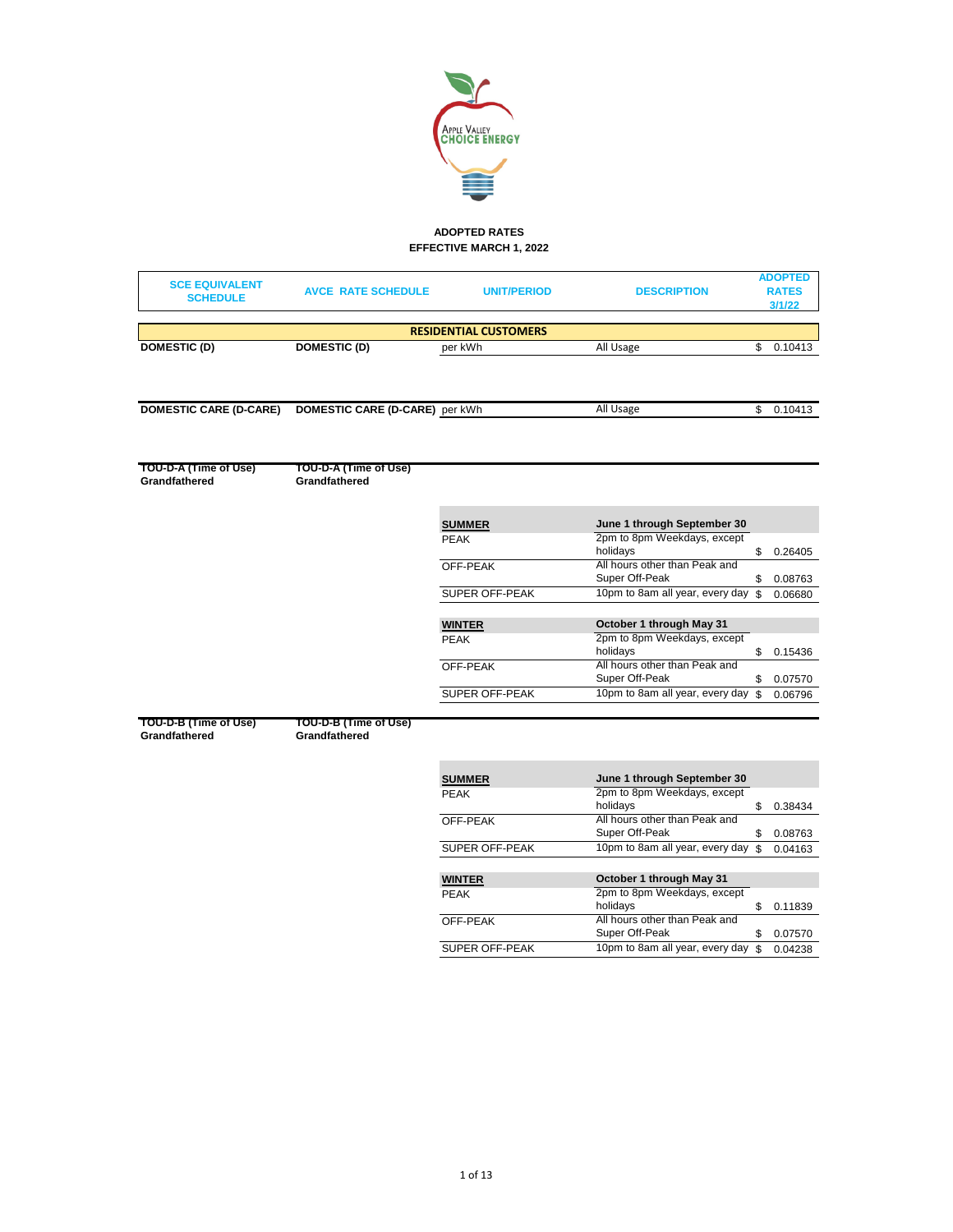

# **ADOPTED RATES EFFECTIVE MARCH 1, 2022**

| <b>SCE EQUIVALENT</b><br><b>SCHEDULE</b> | <b>AVCE RATE SCHEDULE</b>              | <b>UNIT/PERIOD</b>           | <b>DESCRIPTION</b>                              | <b>ADOPTED</b><br><b>RATES</b><br>3/1/22 |
|------------------------------------------|----------------------------------------|------------------------------|-------------------------------------------------|------------------------------------------|
|                                          |                                        | <b>RESIDENTIAL CUSTOMERS</b> |                                                 |                                          |
| <b>DOMESTIC (D)</b>                      | <b>DOMESTIC (D)</b>                    | per kWh                      | All Usage                                       | \$<br>0.10413                            |
|                                          |                                        |                              |                                                 |                                          |
| <b>DOMESTIC CARE (D-CARE)</b>            | DOMESTIC CARE (D-CARE) per kWh         |                              | All Usage                                       | \$0.10413                                |
|                                          |                                        |                              |                                                 |                                          |
| TOU-D-A (Time of Use)<br>Grandfathered   | TOU-D-A (Time of Use)<br>Grandfathered |                              |                                                 |                                          |
|                                          |                                        | <b>SUMMER</b>                | June 1 through September 30                     |                                          |
|                                          |                                        | <b>PEAK</b>                  | 2pm to 8pm Weekdays, except                     |                                          |
|                                          |                                        |                              | holidays<br>All hours other than Peak and       | \$<br>0.26405                            |
|                                          |                                        | OFF-PEAK                     | Super Off-Peak                                  | \$<br>0.08763                            |
|                                          |                                        | <b>SUPER OFF-PEAK</b>        | 10pm to 8am all year, every day                 | \$<br>0.06680                            |
|                                          |                                        |                              |                                                 |                                          |
|                                          |                                        | <b>WINTER</b>                | October 1 through May 31                        |                                          |
|                                          |                                        | <b>PEAK</b>                  | 2pm to 8pm Weekdays, except<br>holidays         | \$<br>0.15436                            |
|                                          |                                        | OFF-PEAK                     | All hours other than Peak and                   |                                          |
|                                          |                                        |                              | Super Off-Peak                                  | \$<br>0.07570                            |
|                                          |                                        | <b>SUPER OFF-PEAK</b>        | 10pm to 8am all year, every day                 | \$<br>0.06796                            |
| TOU-D-B (Time of Use)                    | TOU-D-B (Time of Use)                  |                              |                                                 |                                          |
| Grandfathered                            | Grandfathered                          |                              |                                                 |                                          |
|                                          |                                        | <b>SUMMER</b>                | June 1 through September 30                     |                                          |
|                                          |                                        | <b>PEAK</b>                  | 2pm to 8pm Weekdays, except                     |                                          |
|                                          |                                        |                              | holidays                                        | \$<br>0.38434                            |
|                                          |                                        | OFF-PEAK                     | All hours other than Peak and<br>Super Off-Peak | \$<br>0.08763                            |
|                                          |                                        | SUPER OFF-PEAK               | 10pm to 8am all year, every day                 | \$<br>0.04163                            |
|                                          |                                        |                              |                                                 |                                          |
|                                          |                                        | <b>WINTER</b>                | October 1 through May 31                        |                                          |
|                                          |                                        | <b>PEAK</b>                  | 2pm to 8pm Weekdays, except                     |                                          |
|                                          |                                        | OFF-PEAK                     | holidays<br>All hours other than Peak and       | \$<br>0.11839                            |
|                                          |                                        |                              | Super Off-Peak                                  | \$<br>0.07570                            |
|                                          |                                        | <b>SUPER OFF-PEAK</b>        | 10pm to 8am all year, every day                 | \$<br>0.04238                            |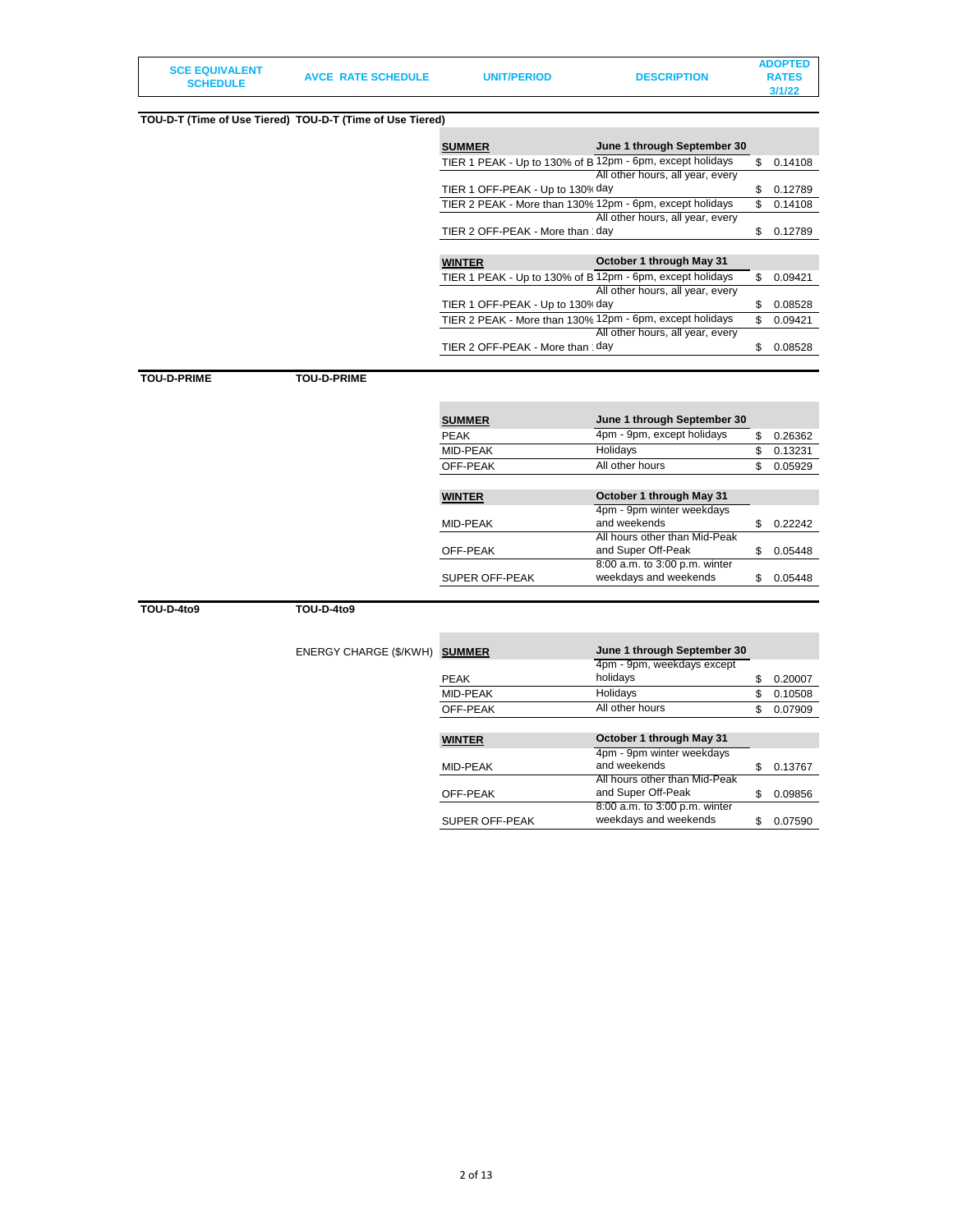| <b>SCE EQUIVALENT</b> |                           |                    |                    | <b>ADOPTED</b> |
|-----------------------|---------------------------|--------------------|--------------------|----------------|
| <b>SCHEDULE</b>       | <b>AVCE RATE SCHEDULE</b> | <b>UNIT/PERIOD</b> | <b>DESCRIPTION</b> | <b>RATES</b>   |
|                       |                           |                    |                    | 3/1/22         |

#### **TOU-D-T (Time of Use Tiered) TOU-D-T (Time of Use Tiered) SUMMER June 1 through September 30** TIER 1 PEAK - Up to 130% of B $\overline{12pm}$  - 6pm, except holidays \$ 0.14108 TIER 1 OFF-PEAK - Up to 130% day All other hours, all year, every  $$ 0.12789$ TIER 2 PEAK - More than 130% 12pm - 6pm, except holidays  $$ 0.14108$ TIER 2 OFF-PEAK - More than  $\cdot$  day All other hours, all year, every  $$ 0.12789$ **WINTER October 1 through May 31** TIER 1 PEAK - Up to 130% of B $\overline{12pm}$  - 6pm, except holidays  $$ 0.09421$ TIER 1 OFF-PEAK - Up to 130% day All other hours, all year, every  $$ 0.08528$ TIER 2 PEAK - More than  $130\%$  12pm - 6pm, except holidays  $$ 0.09421$ TIER 2 OFF-PEAK - More than 'day All other hours, all year, every \$ 0.08528 **TOU-D-PRIME TOU-D-PRIME SUMMER June 1 through September 30** PEAK **4pm - 9pm, except holidays** \$ 0.26362 MID-PEAK Holidays \$ 0.13231 OFF-PEAK All other hours \$ 0.05929

| <b>WINTER</b>         | October 1 through May 31      |         |
|-----------------------|-------------------------------|---------|
|                       | 4pm - 9pm winter weekdays     |         |
| MID-PEAK              | and weekends                  | 0.22242 |
|                       | All hours other than Mid-Peak |         |
| OFF-PEAK              | and Super Off-Peak            | 0.05448 |
|                       | 8:00 a.m. to 3:00 p.m. winter |         |
| <b>SUPER OFF-PEAK</b> | weekdays and weekends         | 0.05448 |

**TOU-D-4to9 TOU-D-4to9**

| ENERGY CHARGE (\$/KWH) SUMMER |               | June 1 through September 30 |    |         |
|-------------------------------|---------------|-----------------------------|----|---------|
|                               |               | 4pm - 9pm, weekdays except  |    |         |
|                               | <b>PEAK</b>   | holidays                    |    | 0.20007 |
|                               | MID-PEAK      | Holidays                    | Я. | 0.10508 |
|                               | OFF-PEAK      | All other hours             |    | 0.07909 |
|                               |               |                             |    |         |
|                               | <b>WINTER</b> | October 1 through May 31    |    |         |

|                | 4pm - 9pm winter weekdays     |         |
|----------------|-------------------------------|---------|
| MID-PEAK       | and weekends                  | 0.13767 |
|                | All hours other than Mid-Peak |         |
| OFF-PEAK       | and Super Off-Peak            | 0.09856 |
|                | 8:00 a.m. to 3:00 p.m. winter |         |
| SUPER OFF-PEAK | weekdays and weekends         | 0.07590 |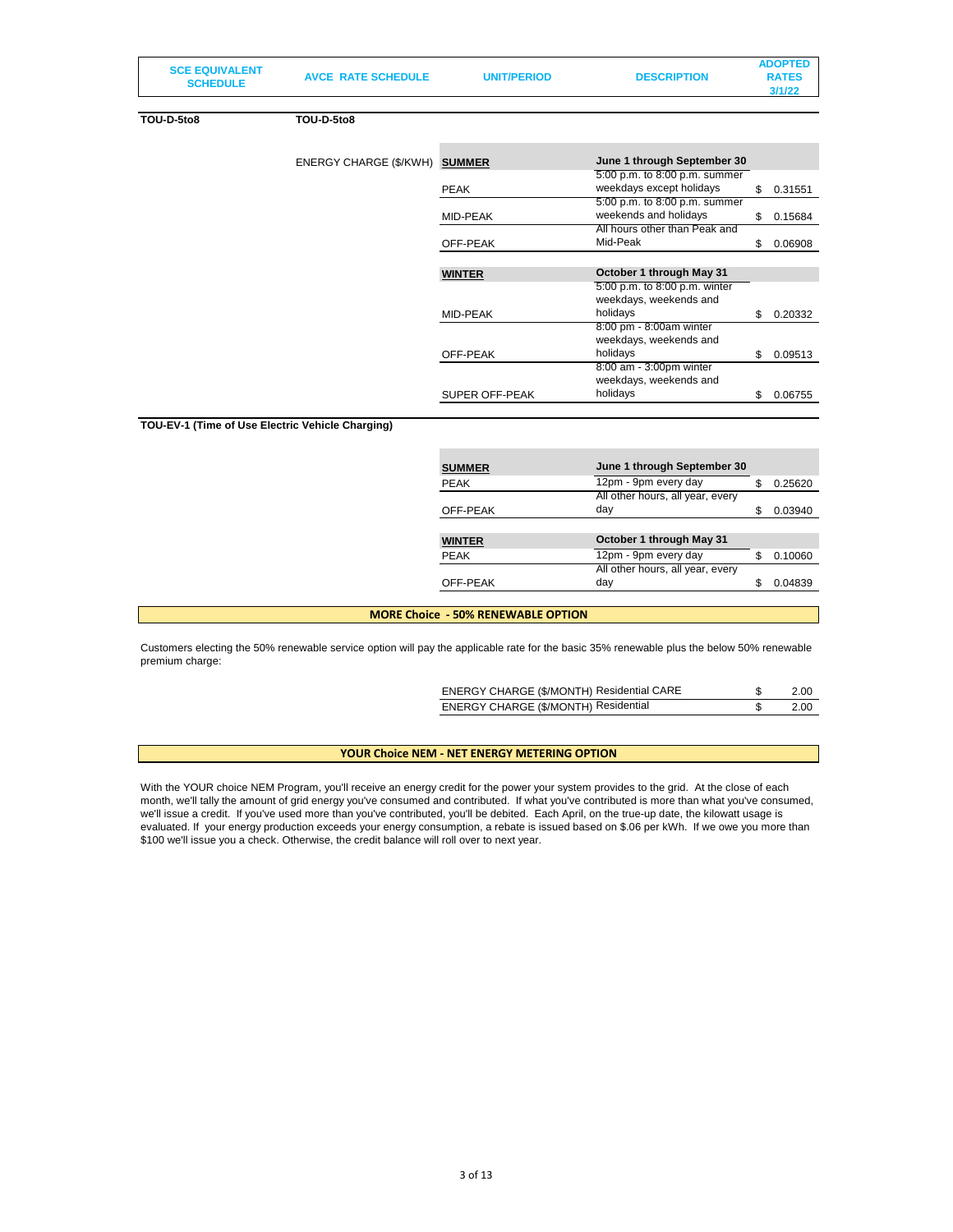| <b>SCHEDULE</b><br>3/1/22 |  | <b>SCE EQUIVALENT</b> | <b>AVCE RATE SCHEDULE</b> | <b>UNIT/PERIOD</b> | <b>DESCRIPTION</b> | <b>ADOPTED</b><br><b>RATES</b> |
|---------------------------|--|-----------------------|---------------------------|--------------------|--------------------|--------------------------------|
|---------------------------|--|-----------------------|---------------------------|--------------------|--------------------|--------------------------------|

**TOU-D-5to8 TOU-D-5to8**

| ENERGY CHARGE (\$/KWH) SUMMER |               | June 1 through September 30   |     |         |  |  |
|-------------------------------|---------------|-------------------------------|-----|---------|--|--|
|                               |               | 5:00 p.m. to 8:00 p.m. summer |     |         |  |  |
|                               | <b>PEAK</b>   | weekdays except holidays      | \$  | 0.31551 |  |  |
|                               |               | 5:00 p.m. to 8:00 p.m. summer |     |         |  |  |
|                               | MID-PEAK      | weekends and holidays         | \$  | 0.15684 |  |  |
|                               |               | All hours other than Peak and |     |         |  |  |
|                               | OFF-PEAK      | Mid-Peak                      | \$. | 0.06908 |  |  |
|                               |               |                               |     |         |  |  |
|                               | <b>WINTER</b> | October 1 through May 31      |     |         |  |  |
|                               |               | 5:00 p.m. to 8:00 p.m. winter |     |         |  |  |
|                               |               | weekdays, weekends and        |     |         |  |  |
|                               | MID-PEAK      | holidays                      | \$. | 0.20332 |  |  |
|                               |               | 8:00 pm - 8:00am winter       |     |         |  |  |
|                               |               | weekdays, weekends and        |     |         |  |  |
|                               |               |                               |     |         |  |  |
|                               | OFF-PEAK      | holidays                      | \$  | 0.09513 |  |  |
|                               |               | 8:00 am - 3:00pm winter       |     |         |  |  |
|                               |               | weekdays, weekends and        |     |         |  |  |

### **TOU-EV-1 (Time of Use Electric Vehicle Charging)**

| <b>SUMMER</b> | June 1 through September 30      |               |
|---------------|----------------------------------|---------------|
| <b>PEAK</b>   | 12pm - 9pm every day             | \$<br>0.25620 |
|               | All other hours, all year, every |               |
| OFF-PEAK      | day                              | \$<br>0.03940 |
|               |                                  |               |
| <b>WINTER</b> | October 1 through May 31         |               |
| <b>PEAK</b>   | 12pm - 9pm every day             | \$<br>0.10060 |
|               |                                  |               |
|               | All other hours, all year, every |               |

#### **MORE Choice - 50% RENEWABLE OPTION**

Customers electing the 50% renewable service option will pay the applicable rate for the basic 35% renewable plus the below 50% renewable premium charge:

| ENERGY CHARGE (\$/MONTH) Residential CARE | 2.00 |
|-------------------------------------------|------|
| ENERGY CHARGE (\$/MONTH) Residential      | 2.00 |

# **YOUR Choice NEM - NET ENERGY METERING OPTION**

With the YOUR choice NEM Program, you'll receive an energy credit for the power your system provides to the grid. At the close of each month, we'll tally the amount of grid energy you've consumed and contributed. If what you've contributed is more than what you've consumed, we'll issue a credit. If you've used more than you've contributed, you'll be debited. Each April, on the true-up date, the kilowatt usage is evaluated. If your energy production exceeds your energy consumption, a rebate is issued based on \$.06 per kWh. If we owe you more than \$100 we'll issue you a check. Otherwise, the credit balance will roll over to next year.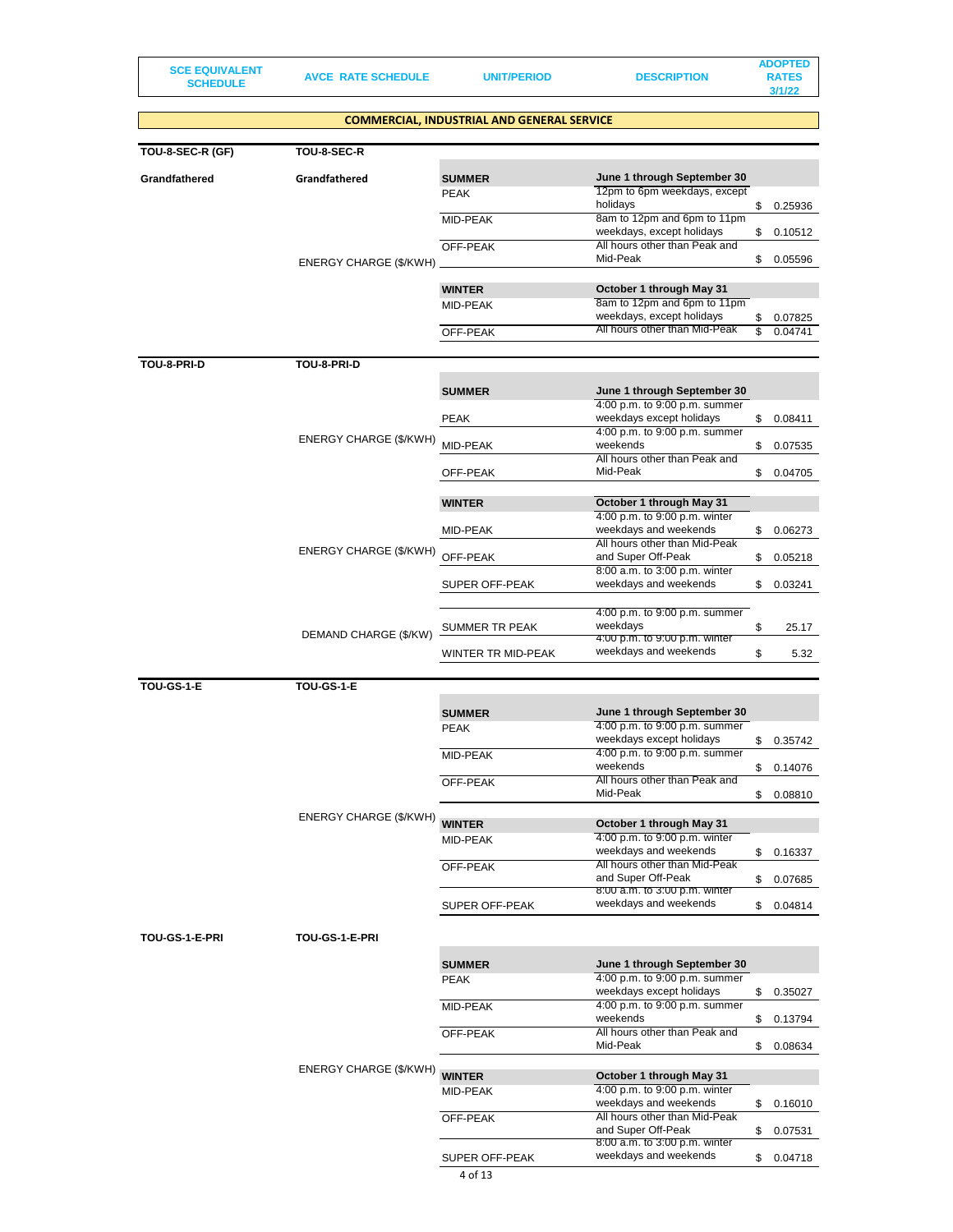**SCE EQUIVALENT** 

**SCHEDULE AVCE RATE SCHEDULE UNIT/PERIOD DESCRIPTION**

**ADOPTED RATES 3/1/22**

|                   |                        | <b>COMMERCIAL, INDUSTRIAL AND GENERAL SERVICE</b> |                                                              |               |
|-------------------|------------------------|---------------------------------------------------|--------------------------------------------------------------|---------------|
| TOU-8-SEC-R (GF)  | TOU-8-SEC-R            |                                                   |                                                              |               |
|                   |                        |                                                   |                                                              |               |
| Grandfathered     | Grandfathered          | <b>SUMMER</b><br><b>PEAK</b>                      | June 1 through September 30<br>12pm to 6pm weekdays, except  |               |
|                   |                        |                                                   | holidays                                                     | \$<br>0.25936 |
|                   |                        | MID-PEAK                                          | 8am to 12pm and 6pm to 11pm<br>weekdays, except holidays     | \$<br>0.10512 |
|                   |                        | OFF-PEAK                                          | All hours other than Peak and<br>Mid-Peak                    |               |
|                   | ENERGY CHARGE (\$/KWH) |                                                   |                                                              | \$<br>0.05596 |
|                   |                        | <b>WINTER</b>                                     | October 1 through May 31                                     |               |
|                   |                        | MID-PEAK                                          | 8am to 12pm and 6pm to 11pm<br>weekdays, except holidays     | \$<br>0.07825 |
|                   |                        | OFF-PEAK                                          | All hours other than Mid-Peak                                | \$<br>0.04741 |
|                   |                        |                                                   |                                                              |               |
| TOU-8-PRI-D       | TOU-8-PRI-D            |                                                   |                                                              |               |
|                   |                        | <b>SUMMER</b>                                     | June 1 through September 30                                  |               |
|                   |                        | <b>PEAK</b>                                       | 4:00 p.m. to 9:00 p.m. summer<br>weekdays except holidays    | \$<br>0.08411 |
|                   | ENERGY CHARGE (\$/KWH) |                                                   | 4:00 p.m. to 9:00 p.m. summer                                |               |
|                   |                        | MID-PEAK                                          | weekends<br>All hours other than Peak and                    | \$<br>0.07535 |
|                   |                        | OFF-PEAK                                          | Mid-Peak                                                     | \$<br>0.04705 |
|                   |                        | <b>WINTER</b>                                     | October 1 through May 31                                     |               |
|                   |                        |                                                   | 4:00 p.m. to 9:00 p.m. winter                                |               |
|                   |                        | MID-PEAK                                          | weekdays and weekends<br>All hours other than Mid-Peak       | \$<br>0.06273 |
|                   | ENERGY CHARGE (\$/KWH) | OFF-PEAK                                          | and Super Off-Peak                                           | \$<br>0.05218 |
|                   |                        | SUPER OFF-PEAK                                    | 8:00 a.m. to 3:00 p.m. winter<br>weekdays and weekends       | \$<br>0.03241 |
|                   |                        |                                                   |                                                              |               |
|                   |                        | SUMMER TR PEAK                                    | 4:00 p.m. to 9:00 p.m. summer<br>weekdays                    | \$<br>25.17   |
|                   | DEMAND CHARGE (\$/KW)  |                                                   | 4:00 p.m. to 9:00 p.m. winter                                |               |
|                   |                        | WINTER TR MID-PEAK                                | weekdays and weekends                                        | \$<br>5.32    |
| <b>TOU-GS-1-E</b> | TOU-GS-1-E             |                                                   |                                                              |               |
|                   |                        |                                                   | June 1 through September 30                                  |               |
|                   |                        | <b>SUMMER</b><br><b>PEAK</b>                      | 4:00 p.m. to 9:00 p.m. summer                                |               |
|                   |                        |                                                   | weekdays except holidays<br>4:00 p.m. to 9:00 p.m. summer    | \$<br>0.35742 |
|                   |                        | MID-PEAK                                          | weekends                                                     | \$<br>0.14076 |
|                   |                        | OFF-PEAK                                          | All hours other than Peak and<br>Mid-Peak                    |               |
|                   |                        |                                                   |                                                              | \$<br>0.08810 |
|                   | ENERGY CHARGE (\$/KWH) | <b>WINTER</b>                                     | October 1 through May 31                                     |               |
|                   |                        | MID-PEAK                                          | 4:00 p.m. to 9:00 p.m. winter<br>weekdays and weekends       | \$<br>0.16337 |
|                   |                        | OFF-PEAK                                          | All hours other than Mid-Peak                                |               |
|                   |                        |                                                   | and Super Off-Peak<br>8:00 a.m. to 3:00 p.m. winter          | \$<br>0.07685 |
|                   |                        | SUPER OFF-PEAK                                    | weekdays and weekends                                        | \$<br>0.04814 |
| TOU-GS-1-E-PRI    | TOU-GS-1-E-PRI         |                                                   |                                                              |               |
|                   |                        |                                                   |                                                              |               |
|                   |                        | <b>SUMMER</b><br><b>PEAK</b>                      | June 1 through September 30<br>4:00 p.m. to 9:00 p.m. summer |               |
|                   |                        |                                                   | weekdays except holidays                                     | \$<br>0.35027 |
|                   |                        | MID-PEAK                                          | 4:00 p.m. to 9:00 p.m. summer<br>weekends                    | \$<br>0.13794 |
|                   |                        | OFF-PEAK                                          | All hours other than Peak and                                |               |
|                   |                        |                                                   | Mid-Peak                                                     | \$<br>0.08634 |
|                   | ENERGY CHARGE (\$/KWH) | <b>WINTER</b>                                     | October 1 through May 31                                     |               |
|                   |                        | MID-PEAK                                          | 4:00 p.m. to 9:00 p.m. winter<br>weekdays and weekends       |               |
|                   |                        | OFF-PEAK                                          | All hours other than Mid-Peak                                | \$<br>0.16010 |
|                   |                        |                                                   | and Super Off-Peak<br>8:00 a.m. to 3:00 p.m. winter          | \$<br>0.07531 |
|                   |                        | SUPER OFF-PEAK                                    | weekdays and weekends                                        | \$<br>0.04718 |
|                   |                        | 4 of 13                                           |                                                              |               |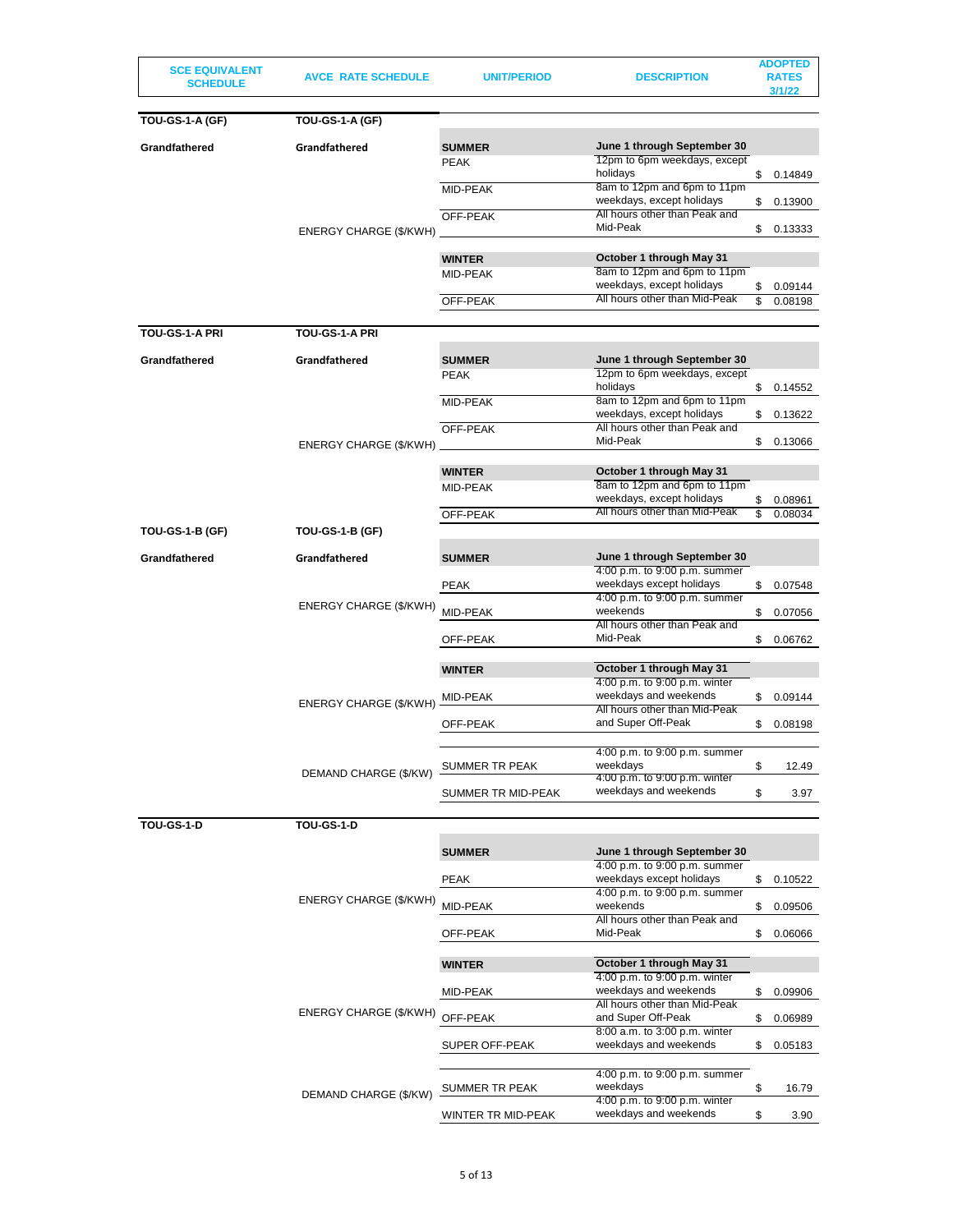| <b>TOU-GS-1-A (GF)</b><br><b>TOU-GS-1-A (GF)</b><br>June 1 through September 30<br>Grandfathered<br>Grandfathered<br><b>SUMMER</b><br>12pm to 6pm weekdays, except<br><b>PEAK</b><br>holidays<br>\$<br>0.14849<br>8am to 12pm and 6pm to 11pm<br>MID-PEAK<br>weekdays, except holidays<br>\$<br>0.13900<br>All hours other than Peak and<br>OFF-PEAK<br>Mid-Peak<br>\$<br>0.13333<br>ENERGY CHARGE (\$/KWH)<br>October 1 through May 31<br><b>WINTER</b><br>8am to 12pm and 6pm to 11pm<br>MID-PEAK<br>weekdays, except holidays<br>0.09144<br>\$<br>All hours other than Mid-Peak<br>OFF-PEAK<br>\$<br>0.08198<br>TOU-GS-1-A PRI<br><b>TOU-GS-1-A PRI</b><br>June 1 through September 30<br>Grandfathered<br>Grandfathered<br><b>SUMMER</b><br>12pm to 6pm weekdays, except<br><b>PEAK</b><br>holidays<br>\$<br>0.14552<br>8am to 12pm and 6pm to 11pm<br>MID-PEAK<br>weekdays, except holidays<br>\$<br>0.13622<br>All hours other than Peak and<br>OFF-PEAK<br>Mid-Peak<br>\$<br>0.13066<br>ENERGY CHARGE (\$/KWH)<br><b>WINTER</b><br>October 1 through May 31<br>8am to 12pm and 6pm to 11pm<br>MID-PEAK<br>weekdays, except holidays<br>\$<br>0.08961<br>All hours other than Mid-Peak<br>OFF-PEAK<br>\$<br>0.08034<br><b>TOU-GS-1-B (GF)</b><br><b>TOU-GS-1-B (GF)</b><br>June 1 through September 30<br>Grandfathered<br>Grandfathered<br><b>SUMMER</b><br>4:00 p.m. to 9:00 p.m. summer<br>weekdays except holidays<br><b>PEAK</b><br>\$<br>0.07548<br>4:00 p.m. to 9:00 p.m. summer<br>ENERGY CHARGE (\$/KWH)<br>weekends<br>MID-PEAK<br>\$<br>0.07056<br>All hours other than Peak and<br>Mid-Peak<br>\$<br>OFF-PEAK<br>0.06762<br>October 1 through May 31<br><b>WINTER</b><br>4:00 p.m. to 9:00 p.m. winter<br>weekdays and weekends<br>0.09144<br>MID-PEAK<br>\$<br>ENERGY CHARGE (\$/KWH)<br>All hours other than Mid-Peak<br>and Super Off-Peak<br>OFF-PEAK<br>0.08198<br>\$<br>4:00 p.m. to 9:00 p.m. summer<br>weekdays<br>\$<br>SUMMER TR PEAK<br>12.49<br>DEMAND CHARGE (\$/KW)<br>4:00 p.m. to 9:00 p.m. winter<br>weekdays and weekends<br>\$<br>SUMMER TR MID-PEAK<br>3.97<br><b>TOU-GS-1-D</b><br><b>TOU-GS-1-D</b><br>June 1 through September 30<br><b>SUMMER</b><br>4:00 p.m. to 9:00 p.m. summer<br>weekdays except holidays<br><b>PEAK</b><br>\$<br>0.10522<br>4:00 p.m. to 9:00 p.m. summer<br>ENERGY CHARGE (\$/KWH)<br>weekends<br>MID-PEAK<br>0.09506<br>\$<br>All hours other than Peak and<br>Mid-Peak<br>OFF-PEAK<br>\$<br>0.06066<br>October 1 through May 31<br><b>WINTER</b><br>4:00 p.m. to 9:00 p.m. winter<br>weekdays and weekends<br>MID-PEAK<br>\$<br>0.09906<br>All hours other than Mid-Peak<br>ENERGY CHARGE (\$/KWH)<br>OFF-PEAK<br>and Super Off-Peak<br>\$<br>0.06989<br>8:00 a.m. to 3:00 p.m. winter<br>weekdays and weekends<br>SUPER OFF-PEAK<br>\$<br>0.05183<br>4:00 p.m. to 9:00 p.m. summer<br>weekdays<br>\$<br>SUMMER TR PEAK<br>16.79<br>DEMAND CHARGE (\$/KW)<br>4:00 p.m. to 9:00 p.m. winter<br>weekdays and weekends<br>\$<br>WINTER TR MID-PEAK<br>3.90 | <b>SCE EQUIVALENT</b><br><b>SCHEDULE</b> | <b>AVCE RATE SCHEDULE</b> | UNIT/PERIOD | <b>DESCRIPTION</b> | <b>ADOPTED</b><br><b>RATES</b><br>3/1/22 |
|----------------------------------------------------------------------------------------------------------------------------------------------------------------------------------------------------------------------------------------------------------------------------------------------------------------------------------------------------------------------------------------------------------------------------------------------------------------------------------------------------------------------------------------------------------------------------------------------------------------------------------------------------------------------------------------------------------------------------------------------------------------------------------------------------------------------------------------------------------------------------------------------------------------------------------------------------------------------------------------------------------------------------------------------------------------------------------------------------------------------------------------------------------------------------------------------------------------------------------------------------------------------------------------------------------------------------------------------------------------------------------------------------------------------------------------------------------------------------------------------------------------------------------------------------------------------------------------------------------------------------------------------------------------------------------------------------------------------------------------------------------------------------------------------------------------------------------------------------------------------------------------------------------------------------------------------------------------------------------------------------------------------------------------------------------------------------------------------------------------------------------------------------------------------------------------------------------------------------------------------------------------------------------------------------------------------------------------------------------------------------------------------------------------------------------------------------------------------------------------------------------------------------------------------------------------------------------------------------------------------------------------------------------------------------------------------------------------------------------------------------------------------------------------------------------------------------------------------------------------------------------------------------------------------------------------------------------------------------------------------------------------------------|------------------------------------------|---------------------------|-------------|--------------------|------------------------------------------|
|                                                                                                                                                                                                                                                                                                                                                                                                                                                                                                                                                                                                                                                                                                                                                                                                                                                                                                                                                                                                                                                                                                                                                                                                                                                                                                                                                                                                                                                                                                                                                                                                                                                                                                                                                                                                                                                                                                                                                                                                                                                                                                                                                                                                                                                                                                                                                                                                                                                                                                                                                                                                                                                                                                                                                                                                                                                                                                                                                                                                                            |                                          |                           |             |                    |                                          |
|                                                                                                                                                                                                                                                                                                                                                                                                                                                                                                                                                                                                                                                                                                                                                                                                                                                                                                                                                                                                                                                                                                                                                                                                                                                                                                                                                                                                                                                                                                                                                                                                                                                                                                                                                                                                                                                                                                                                                                                                                                                                                                                                                                                                                                                                                                                                                                                                                                                                                                                                                                                                                                                                                                                                                                                                                                                                                                                                                                                                                            |                                          |                           |             |                    |                                          |
|                                                                                                                                                                                                                                                                                                                                                                                                                                                                                                                                                                                                                                                                                                                                                                                                                                                                                                                                                                                                                                                                                                                                                                                                                                                                                                                                                                                                                                                                                                                                                                                                                                                                                                                                                                                                                                                                                                                                                                                                                                                                                                                                                                                                                                                                                                                                                                                                                                                                                                                                                                                                                                                                                                                                                                                                                                                                                                                                                                                                                            |                                          |                           |             |                    |                                          |
|                                                                                                                                                                                                                                                                                                                                                                                                                                                                                                                                                                                                                                                                                                                                                                                                                                                                                                                                                                                                                                                                                                                                                                                                                                                                                                                                                                                                                                                                                                                                                                                                                                                                                                                                                                                                                                                                                                                                                                                                                                                                                                                                                                                                                                                                                                                                                                                                                                                                                                                                                                                                                                                                                                                                                                                                                                                                                                                                                                                                                            |                                          |                           |             |                    |                                          |
|                                                                                                                                                                                                                                                                                                                                                                                                                                                                                                                                                                                                                                                                                                                                                                                                                                                                                                                                                                                                                                                                                                                                                                                                                                                                                                                                                                                                                                                                                                                                                                                                                                                                                                                                                                                                                                                                                                                                                                                                                                                                                                                                                                                                                                                                                                                                                                                                                                                                                                                                                                                                                                                                                                                                                                                                                                                                                                                                                                                                                            |                                          |                           |             |                    |                                          |
|                                                                                                                                                                                                                                                                                                                                                                                                                                                                                                                                                                                                                                                                                                                                                                                                                                                                                                                                                                                                                                                                                                                                                                                                                                                                                                                                                                                                                                                                                                                                                                                                                                                                                                                                                                                                                                                                                                                                                                                                                                                                                                                                                                                                                                                                                                                                                                                                                                                                                                                                                                                                                                                                                                                                                                                                                                                                                                                                                                                                                            |                                          |                           |             |                    |                                          |
|                                                                                                                                                                                                                                                                                                                                                                                                                                                                                                                                                                                                                                                                                                                                                                                                                                                                                                                                                                                                                                                                                                                                                                                                                                                                                                                                                                                                                                                                                                                                                                                                                                                                                                                                                                                                                                                                                                                                                                                                                                                                                                                                                                                                                                                                                                                                                                                                                                                                                                                                                                                                                                                                                                                                                                                                                                                                                                                                                                                                                            |                                          |                           |             |                    |                                          |
|                                                                                                                                                                                                                                                                                                                                                                                                                                                                                                                                                                                                                                                                                                                                                                                                                                                                                                                                                                                                                                                                                                                                                                                                                                                                                                                                                                                                                                                                                                                                                                                                                                                                                                                                                                                                                                                                                                                                                                                                                                                                                                                                                                                                                                                                                                                                                                                                                                                                                                                                                                                                                                                                                                                                                                                                                                                                                                                                                                                                                            |                                          |                           |             |                    |                                          |
|                                                                                                                                                                                                                                                                                                                                                                                                                                                                                                                                                                                                                                                                                                                                                                                                                                                                                                                                                                                                                                                                                                                                                                                                                                                                                                                                                                                                                                                                                                                                                                                                                                                                                                                                                                                                                                                                                                                                                                                                                                                                                                                                                                                                                                                                                                                                                                                                                                                                                                                                                                                                                                                                                                                                                                                                                                                                                                                                                                                                                            |                                          |                           |             |                    |                                          |
|                                                                                                                                                                                                                                                                                                                                                                                                                                                                                                                                                                                                                                                                                                                                                                                                                                                                                                                                                                                                                                                                                                                                                                                                                                                                                                                                                                                                                                                                                                                                                                                                                                                                                                                                                                                                                                                                                                                                                                                                                                                                                                                                                                                                                                                                                                                                                                                                                                                                                                                                                                                                                                                                                                                                                                                                                                                                                                                                                                                                                            |                                          |                           |             |                    |                                          |
|                                                                                                                                                                                                                                                                                                                                                                                                                                                                                                                                                                                                                                                                                                                                                                                                                                                                                                                                                                                                                                                                                                                                                                                                                                                                                                                                                                                                                                                                                                                                                                                                                                                                                                                                                                                                                                                                                                                                                                                                                                                                                                                                                                                                                                                                                                                                                                                                                                                                                                                                                                                                                                                                                                                                                                                                                                                                                                                                                                                                                            |                                          |                           |             |                    |                                          |
|                                                                                                                                                                                                                                                                                                                                                                                                                                                                                                                                                                                                                                                                                                                                                                                                                                                                                                                                                                                                                                                                                                                                                                                                                                                                                                                                                                                                                                                                                                                                                                                                                                                                                                                                                                                                                                                                                                                                                                                                                                                                                                                                                                                                                                                                                                                                                                                                                                                                                                                                                                                                                                                                                                                                                                                                                                                                                                                                                                                                                            |                                          |                           |             |                    |                                          |
|                                                                                                                                                                                                                                                                                                                                                                                                                                                                                                                                                                                                                                                                                                                                                                                                                                                                                                                                                                                                                                                                                                                                                                                                                                                                                                                                                                                                                                                                                                                                                                                                                                                                                                                                                                                                                                                                                                                                                                                                                                                                                                                                                                                                                                                                                                                                                                                                                                                                                                                                                                                                                                                                                                                                                                                                                                                                                                                                                                                                                            |                                          |                           |             |                    |                                          |
|                                                                                                                                                                                                                                                                                                                                                                                                                                                                                                                                                                                                                                                                                                                                                                                                                                                                                                                                                                                                                                                                                                                                                                                                                                                                                                                                                                                                                                                                                                                                                                                                                                                                                                                                                                                                                                                                                                                                                                                                                                                                                                                                                                                                                                                                                                                                                                                                                                                                                                                                                                                                                                                                                                                                                                                                                                                                                                                                                                                                                            |                                          |                           |             |                    |                                          |
|                                                                                                                                                                                                                                                                                                                                                                                                                                                                                                                                                                                                                                                                                                                                                                                                                                                                                                                                                                                                                                                                                                                                                                                                                                                                                                                                                                                                                                                                                                                                                                                                                                                                                                                                                                                                                                                                                                                                                                                                                                                                                                                                                                                                                                                                                                                                                                                                                                                                                                                                                                                                                                                                                                                                                                                                                                                                                                                                                                                                                            |                                          |                           |             |                    |                                          |
|                                                                                                                                                                                                                                                                                                                                                                                                                                                                                                                                                                                                                                                                                                                                                                                                                                                                                                                                                                                                                                                                                                                                                                                                                                                                                                                                                                                                                                                                                                                                                                                                                                                                                                                                                                                                                                                                                                                                                                                                                                                                                                                                                                                                                                                                                                                                                                                                                                                                                                                                                                                                                                                                                                                                                                                                                                                                                                                                                                                                                            |                                          |                           |             |                    |                                          |
|                                                                                                                                                                                                                                                                                                                                                                                                                                                                                                                                                                                                                                                                                                                                                                                                                                                                                                                                                                                                                                                                                                                                                                                                                                                                                                                                                                                                                                                                                                                                                                                                                                                                                                                                                                                                                                                                                                                                                                                                                                                                                                                                                                                                                                                                                                                                                                                                                                                                                                                                                                                                                                                                                                                                                                                                                                                                                                                                                                                                                            |                                          |                           |             |                    |                                          |
|                                                                                                                                                                                                                                                                                                                                                                                                                                                                                                                                                                                                                                                                                                                                                                                                                                                                                                                                                                                                                                                                                                                                                                                                                                                                                                                                                                                                                                                                                                                                                                                                                                                                                                                                                                                                                                                                                                                                                                                                                                                                                                                                                                                                                                                                                                                                                                                                                                                                                                                                                                                                                                                                                                                                                                                                                                                                                                                                                                                                                            |                                          |                           |             |                    |                                          |
|                                                                                                                                                                                                                                                                                                                                                                                                                                                                                                                                                                                                                                                                                                                                                                                                                                                                                                                                                                                                                                                                                                                                                                                                                                                                                                                                                                                                                                                                                                                                                                                                                                                                                                                                                                                                                                                                                                                                                                                                                                                                                                                                                                                                                                                                                                                                                                                                                                                                                                                                                                                                                                                                                                                                                                                                                                                                                                                                                                                                                            |                                          |                           |             |                    |                                          |
|                                                                                                                                                                                                                                                                                                                                                                                                                                                                                                                                                                                                                                                                                                                                                                                                                                                                                                                                                                                                                                                                                                                                                                                                                                                                                                                                                                                                                                                                                                                                                                                                                                                                                                                                                                                                                                                                                                                                                                                                                                                                                                                                                                                                                                                                                                                                                                                                                                                                                                                                                                                                                                                                                                                                                                                                                                                                                                                                                                                                                            |                                          |                           |             |                    |                                          |
|                                                                                                                                                                                                                                                                                                                                                                                                                                                                                                                                                                                                                                                                                                                                                                                                                                                                                                                                                                                                                                                                                                                                                                                                                                                                                                                                                                                                                                                                                                                                                                                                                                                                                                                                                                                                                                                                                                                                                                                                                                                                                                                                                                                                                                                                                                                                                                                                                                                                                                                                                                                                                                                                                                                                                                                                                                                                                                                                                                                                                            |                                          |                           |             |                    |                                          |
|                                                                                                                                                                                                                                                                                                                                                                                                                                                                                                                                                                                                                                                                                                                                                                                                                                                                                                                                                                                                                                                                                                                                                                                                                                                                                                                                                                                                                                                                                                                                                                                                                                                                                                                                                                                                                                                                                                                                                                                                                                                                                                                                                                                                                                                                                                                                                                                                                                                                                                                                                                                                                                                                                                                                                                                                                                                                                                                                                                                                                            |                                          |                           |             |                    |                                          |
|                                                                                                                                                                                                                                                                                                                                                                                                                                                                                                                                                                                                                                                                                                                                                                                                                                                                                                                                                                                                                                                                                                                                                                                                                                                                                                                                                                                                                                                                                                                                                                                                                                                                                                                                                                                                                                                                                                                                                                                                                                                                                                                                                                                                                                                                                                                                                                                                                                                                                                                                                                                                                                                                                                                                                                                                                                                                                                                                                                                                                            |                                          |                           |             |                    |                                          |
|                                                                                                                                                                                                                                                                                                                                                                                                                                                                                                                                                                                                                                                                                                                                                                                                                                                                                                                                                                                                                                                                                                                                                                                                                                                                                                                                                                                                                                                                                                                                                                                                                                                                                                                                                                                                                                                                                                                                                                                                                                                                                                                                                                                                                                                                                                                                                                                                                                                                                                                                                                                                                                                                                                                                                                                                                                                                                                                                                                                                                            |                                          |                           |             |                    |                                          |
|                                                                                                                                                                                                                                                                                                                                                                                                                                                                                                                                                                                                                                                                                                                                                                                                                                                                                                                                                                                                                                                                                                                                                                                                                                                                                                                                                                                                                                                                                                                                                                                                                                                                                                                                                                                                                                                                                                                                                                                                                                                                                                                                                                                                                                                                                                                                                                                                                                                                                                                                                                                                                                                                                                                                                                                                                                                                                                                                                                                                                            |                                          |                           |             |                    |                                          |
|                                                                                                                                                                                                                                                                                                                                                                                                                                                                                                                                                                                                                                                                                                                                                                                                                                                                                                                                                                                                                                                                                                                                                                                                                                                                                                                                                                                                                                                                                                                                                                                                                                                                                                                                                                                                                                                                                                                                                                                                                                                                                                                                                                                                                                                                                                                                                                                                                                                                                                                                                                                                                                                                                                                                                                                                                                                                                                                                                                                                                            |                                          |                           |             |                    |                                          |
|                                                                                                                                                                                                                                                                                                                                                                                                                                                                                                                                                                                                                                                                                                                                                                                                                                                                                                                                                                                                                                                                                                                                                                                                                                                                                                                                                                                                                                                                                                                                                                                                                                                                                                                                                                                                                                                                                                                                                                                                                                                                                                                                                                                                                                                                                                                                                                                                                                                                                                                                                                                                                                                                                                                                                                                                                                                                                                                                                                                                                            |                                          |                           |             |                    |                                          |
|                                                                                                                                                                                                                                                                                                                                                                                                                                                                                                                                                                                                                                                                                                                                                                                                                                                                                                                                                                                                                                                                                                                                                                                                                                                                                                                                                                                                                                                                                                                                                                                                                                                                                                                                                                                                                                                                                                                                                                                                                                                                                                                                                                                                                                                                                                                                                                                                                                                                                                                                                                                                                                                                                                                                                                                                                                                                                                                                                                                                                            |                                          |                           |             |                    |                                          |
|                                                                                                                                                                                                                                                                                                                                                                                                                                                                                                                                                                                                                                                                                                                                                                                                                                                                                                                                                                                                                                                                                                                                                                                                                                                                                                                                                                                                                                                                                                                                                                                                                                                                                                                                                                                                                                                                                                                                                                                                                                                                                                                                                                                                                                                                                                                                                                                                                                                                                                                                                                                                                                                                                                                                                                                                                                                                                                                                                                                                                            |                                          |                           |             |                    |                                          |
|                                                                                                                                                                                                                                                                                                                                                                                                                                                                                                                                                                                                                                                                                                                                                                                                                                                                                                                                                                                                                                                                                                                                                                                                                                                                                                                                                                                                                                                                                                                                                                                                                                                                                                                                                                                                                                                                                                                                                                                                                                                                                                                                                                                                                                                                                                                                                                                                                                                                                                                                                                                                                                                                                                                                                                                                                                                                                                                                                                                                                            |                                          |                           |             |                    |                                          |
|                                                                                                                                                                                                                                                                                                                                                                                                                                                                                                                                                                                                                                                                                                                                                                                                                                                                                                                                                                                                                                                                                                                                                                                                                                                                                                                                                                                                                                                                                                                                                                                                                                                                                                                                                                                                                                                                                                                                                                                                                                                                                                                                                                                                                                                                                                                                                                                                                                                                                                                                                                                                                                                                                                                                                                                                                                                                                                                                                                                                                            |                                          |                           |             |                    |                                          |
|                                                                                                                                                                                                                                                                                                                                                                                                                                                                                                                                                                                                                                                                                                                                                                                                                                                                                                                                                                                                                                                                                                                                                                                                                                                                                                                                                                                                                                                                                                                                                                                                                                                                                                                                                                                                                                                                                                                                                                                                                                                                                                                                                                                                                                                                                                                                                                                                                                                                                                                                                                                                                                                                                                                                                                                                                                                                                                                                                                                                                            |                                          |                           |             |                    |                                          |
|                                                                                                                                                                                                                                                                                                                                                                                                                                                                                                                                                                                                                                                                                                                                                                                                                                                                                                                                                                                                                                                                                                                                                                                                                                                                                                                                                                                                                                                                                                                                                                                                                                                                                                                                                                                                                                                                                                                                                                                                                                                                                                                                                                                                                                                                                                                                                                                                                                                                                                                                                                                                                                                                                                                                                                                                                                                                                                                                                                                                                            |                                          |                           |             |                    |                                          |
|                                                                                                                                                                                                                                                                                                                                                                                                                                                                                                                                                                                                                                                                                                                                                                                                                                                                                                                                                                                                                                                                                                                                                                                                                                                                                                                                                                                                                                                                                                                                                                                                                                                                                                                                                                                                                                                                                                                                                                                                                                                                                                                                                                                                                                                                                                                                                                                                                                                                                                                                                                                                                                                                                                                                                                                                                                                                                                                                                                                                                            |                                          |                           |             |                    |                                          |
|                                                                                                                                                                                                                                                                                                                                                                                                                                                                                                                                                                                                                                                                                                                                                                                                                                                                                                                                                                                                                                                                                                                                                                                                                                                                                                                                                                                                                                                                                                                                                                                                                                                                                                                                                                                                                                                                                                                                                                                                                                                                                                                                                                                                                                                                                                                                                                                                                                                                                                                                                                                                                                                                                                                                                                                                                                                                                                                                                                                                                            |                                          |                           |             |                    |                                          |
|                                                                                                                                                                                                                                                                                                                                                                                                                                                                                                                                                                                                                                                                                                                                                                                                                                                                                                                                                                                                                                                                                                                                                                                                                                                                                                                                                                                                                                                                                                                                                                                                                                                                                                                                                                                                                                                                                                                                                                                                                                                                                                                                                                                                                                                                                                                                                                                                                                                                                                                                                                                                                                                                                                                                                                                                                                                                                                                                                                                                                            |                                          |                           |             |                    |                                          |
|                                                                                                                                                                                                                                                                                                                                                                                                                                                                                                                                                                                                                                                                                                                                                                                                                                                                                                                                                                                                                                                                                                                                                                                                                                                                                                                                                                                                                                                                                                                                                                                                                                                                                                                                                                                                                                                                                                                                                                                                                                                                                                                                                                                                                                                                                                                                                                                                                                                                                                                                                                                                                                                                                                                                                                                                                                                                                                                                                                                                                            |                                          |                           |             |                    |                                          |
|                                                                                                                                                                                                                                                                                                                                                                                                                                                                                                                                                                                                                                                                                                                                                                                                                                                                                                                                                                                                                                                                                                                                                                                                                                                                                                                                                                                                                                                                                                                                                                                                                                                                                                                                                                                                                                                                                                                                                                                                                                                                                                                                                                                                                                                                                                                                                                                                                                                                                                                                                                                                                                                                                                                                                                                                                                                                                                                                                                                                                            |                                          |                           |             |                    |                                          |
|                                                                                                                                                                                                                                                                                                                                                                                                                                                                                                                                                                                                                                                                                                                                                                                                                                                                                                                                                                                                                                                                                                                                                                                                                                                                                                                                                                                                                                                                                                                                                                                                                                                                                                                                                                                                                                                                                                                                                                                                                                                                                                                                                                                                                                                                                                                                                                                                                                                                                                                                                                                                                                                                                                                                                                                                                                                                                                                                                                                                                            |                                          |                           |             |                    |                                          |
|                                                                                                                                                                                                                                                                                                                                                                                                                                                                                                                                                                                                                                                                                                                                                                                                                                                                                                                                                                                                                                                                                                                                                                                                                                                                                                                                                                                                                                                                                                                                                                                                                                                                                                                                                                                                                                                                                                                                                                                                                                                                                                                                                                                                                                                                                                                                                                                                                                                                                                                                                                                                                                                                                                                                                                                                                                                                                                                                                                                                                            |                                          |                           |             |                    |                                          |
|                                                                                                                                                                                                                                                                                                                                                                                                                                                                                                                                                                                                                                                                                                                                                                                                                                                                                                                                                                                                                                                                                                                                                                                                                                                                                                                                                                                                                                                                                                                                                                                                                                                                                                                                                                                                                                                                                                                                                                                                                                                                                                                                                                                                                                                                                                                                                                                                                                                                                                                                                                                                                                                                                                                                                                                                                                                                                                                                                                                                                            |                                          |                           |             |                    |                                          |
|                                                                                                                                                                                                                                                                                                                                                                                                                                                                                                                                                                                                                                                                                                                                                                                                                                                                                                                                                                                                                                                                                                                                                                                                                                                                                                                                                                                                                                                                                                                                                                                                                                                                                                                                                                                                                                                                                                                                                                                                                                                                                                                                                                                                                                                                                                                                                                                                                                                                                                                                                                                                                                                                                                                                                                                                                                                                                                                                                                                                                            |                                          |                           |             |                    |                                          |
|                                                                                                                                                                                                                                                                                                                                                                                                                                                                                                                                                                                                                                                                                                                                                                                                                                                                                                                                                                                                                                                                                                                                                                                                                                                                                                                                                                                                                                                                                                                                                                                                                                                                                                                                                                                                                                                                                                                                                                                                                                                                                                                                                                                                                                                                                                                                                                                                                                                                                                                                                                                                                                                                                                                                                                                                                                                                                                                                                                                                                            |                                          |                           |             |                    |                                          |
|                                                                                                                                                                                                                                                                                                                                                                                                                                                                                                                                                                                                                                                                                                                                                                                                                                                                                                                                                                                                                                                                                                                                                                                                                                                                                                                                                                                                                                                                                                                                                                                                                                                                                                                                                                                                                                                                                                                                                                                                                                                                                                                                                                                                                                                                                                                                                                                                                                                                                                                                                                                                                                                                                                                                                                                                                                                                                                                                                                                                                            |                                          |                           |             |                    |                                          |
|                                                                                                                                                                                                                                                                                                                                                                                                                                                                                                                                                                                                                                                                                                                                                                                                                                                                                                                                                                                                                                                                                                                                                                                                                                                                                                                                                                                                                                                                                                                                                                                                                                                                                                                                                                                                                                                                                                                                                                                                                                                                                                                                                                                                                                                                                                                                                                                                                                                                                                                                                                                                                                                                                                                                                                                                                                                                                                                                                                                                                            |                                          |                           |             |                    |                                          |
|                                                                                                                                                                                                                                                                                                                                                                                                                                                                                                                                                                                                                                                                                                                                                                                                                                                                                                                                                                                                                                                                                                                                                                                                                                                                                                                                                                                                                                                                                                                                                                                                                                                                                                                                                                                                                                                                                                                                                                                                                                                                                                                                                                                                                                                                                                                                                                                                                                                                                                                                                                                                                                                                                                                                                                                                                                                                                                                                                                                                                            |                                          |                           |             |                    |                                          |
|                                                                                                                                                                                                                                                                                                                                                                                                                                                                                                                                                                                                                                                                                                                                                                                                                                                                                                                                                                                                                                                                                                                                                                                                                                                                                                                                                                                                                                                                                                                                                                                                                                                                                                                                                                                                                                                                                                                                                                                                                                                                                                                                                                                                                                                                                                                                                                                                                                                                                                                                                                                                                                                                                                                                                                                                                                                                                                                                                                                                                            |                                          |                           |             |                    |                                          |
|                                                                                                                                                                                                                                                                                                                                                                                                                                                                                                                                                                                                                                                                                                                                                                                                                                                                                                                                                                                                                                                                                                                                                                                                                                                                                                                                                                                                                                                                                                                                                                                                                                                                                                                                                                                                                                                                                                                                                                                                                                                                                                                                                                                                                                                                                                                                                                                                                                                                                                                                                                                                                                                                                                                                                                                                                                                                                                                                                                                                                            |                                          |                           |             |                    |                                          |
|                                                                                                                                                                                                                                                                                                                                                                                                                                                                                                                                                                                                                                                                                                                                                                                                                                                                                                                                                                                                                                                                                                                                                                                                                                                                                                                                                                                                                                                                                                                                                                                                                                                                                                                                                                                                                                                                                                                                                                                                                                                                                                                                                                                                                                                                                                                                                                                                                                                                                                                                                                                                                                                                                                                                                                                                                                                                                                                                                                                                                            |                                          |                           |             |                    |                                          |
|                                                                                                                                                                                                                                                                                                                                                                                                                                                                                                                                                                                                                                                                                                                                                                                                                                                                                                                                                                                                                                                                                                                                                                                                                                                                                                                                                                                                                                                                                                                                                                                                                                                                                                                                                                                                                                                                                                                                                                                                                                                                                                                                                                                                                                                                                                                                                                                                                                                                                                                                                                                                                                                                                                                                                                                                                                                                                                                                                                                                                            |                                          |                           |             |                    |                                          |
|                                                                                                                                                                                                                                                                                                                                                                                                                                                                                                                                                                                                                                                                                                                                                                                                                                                                                                                                                                                                                                                                                                                                                                                                                                                                                                                                                                                                                                                                                                                                                                                                                                                                                                                                                                                                                                                                                                                                                                                                                                                                                                                                                                                                                                                                                                                                                                                                                                                                                                                                                                                                                                                                                                                                                                                                                                                                                                                                                                                                                            |                                          |                           |             |                    |                                          |
|                                                                                                                                                                                                                                                                                                                                                                                                                                                                                                                                                                                                                                                                                                                                                                                                                                                                                                                                                                                                                                                                                                                                                                                                                                                                                                                                                                                                                                                                                                                                                                                                                                                                                                                                                                                                                                                                                                                                                                                                                                                                                                                                                                                                                                                                                                                                                                                                                                                                                                                                                                                                                                                                                                                                                                                                                                                                                                                                                                                                                            |                                          |                           |             |                    |                                          |
|                                                                                                                                                                                                                                                                                                                                                                                                                                                                                                                                                                                                                                                                                                                                                                                                                                                                                                                                                                                                                                                                                                                                                                                                                                                                                                                                                                                                                                                                                                                                                                                                                                                                                                                                                                                                                                                                                                                                                                                                                                                                                                                                                                                                                                                                                                                                                                                                                                                                                                                                                                                                                                                                                                                                                                                                                                                                                                                                                                                                                            |                                          |                           |             |                    |                                          |
|                                                                                                                                                                                                                                                                                                                                                                                                                                                                                                                                                                                                                                                                                                                                                                                                                                                                                                                                                                                                                                                                                                                                                                                                                                                                                                                                                                                                                                                                                                                                                                                                                                                                                                                                                                                                                                                                                                                                                                                                                                                                                                                                                                                                                                                                                                                                                                                                                                                                                                                                                                                                                                                                                                                                                                                                                                                                                                                                                                                                                            |                                          |                           |             |                    |                                          |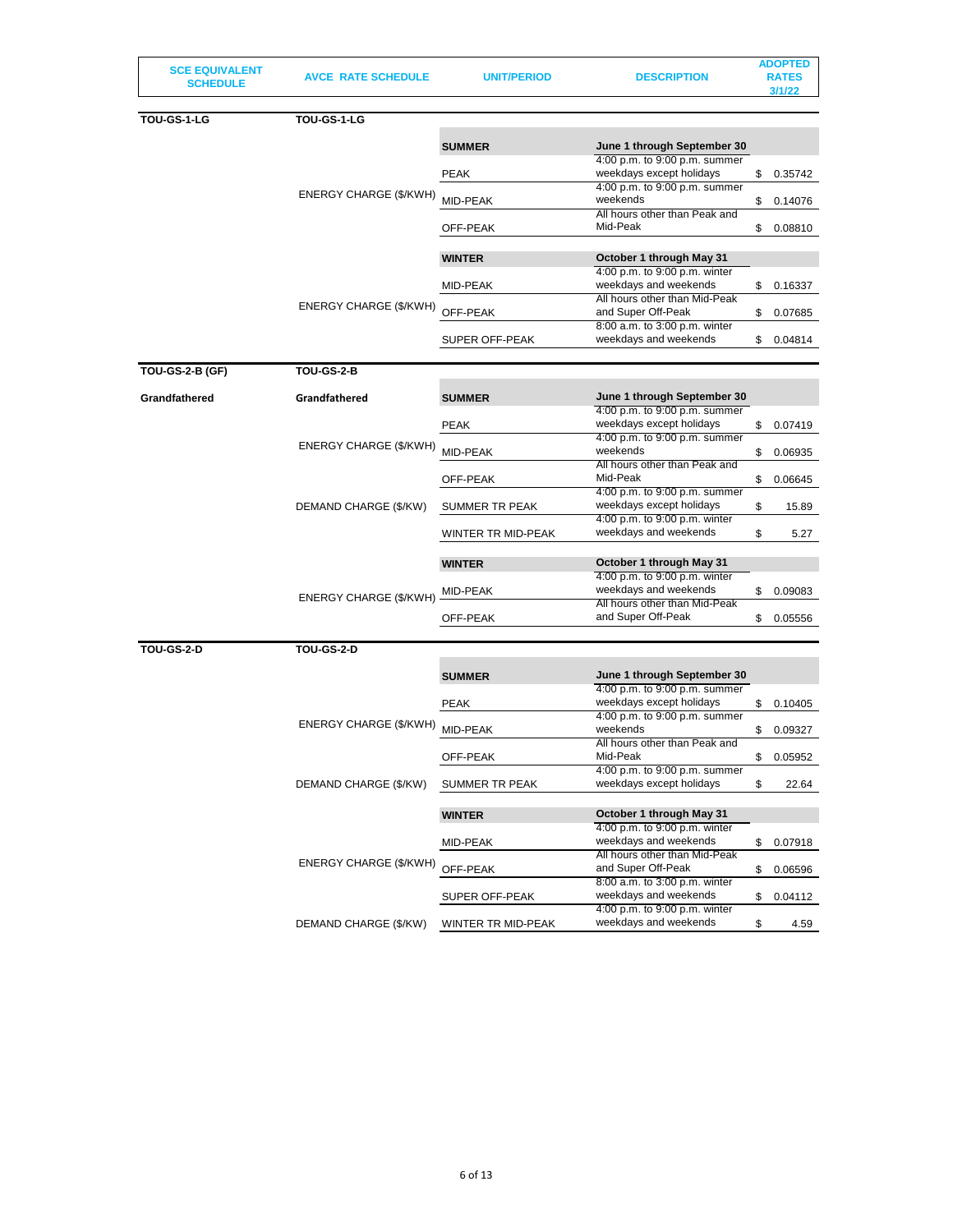| <b>SCE EQUIVALENT</b><br><b>SCHEDULE</b> | <b>AVCE RATE SCHEDULE</b> | UNIT/PERIOD           | <b>DESCRIPTION</b>                                        | <b>ADOPTED</b><br><b>RATES</b><br>3/1/22 |
|------------------------------------------|---------------------------|-----------------------|-----------------------------------------------------------|------------------------------------------|
| TOU-GS-1-LG                              | TOU-GS-1-LG               |                       |                                                           |                                          |
|                                          |                           | <b>SUMMER</b>         | June 1 through September 30                               |                                          |
|                                          |                           |                       | 4:00 p.m. to 9:00 p.m. summer                             |                                          |
|                                          |                           | <b>PEAK</b>           | weekdays except holidays                                  | \$<br>0.35742                            |
|                                          | ENERGY CHARGE (\$/KWH)    |                       | 4:00 p.m. to 9:00 p.m. summer                             |                                          |
|                                          |                           | MID-PEAK              | weekends<br>All hours other than Peak and                 | \$<br>0.14076                            |
|                                          |                           | OFF-PEAK              | Mid-Peak                                                  | \$<br>0.08810                            |
|                                          |                           |                       |                                                           |                                          |
|                                          |                           | <b>WINTER</b>         | October 1 through May 31<br>4:00 p.m. to 9:00 p.m. winter |                                          |
|                                          |                           | MID-PEAK              | weekdays and weekends                                     | \$<br>0.16337                            |
|                                          |                           |                       | All hours other than Mid-Peak                             |                                          |
|                                          | ENERGY CHARGE (\$/KWH)    | OFF-PEAK              | and Super Off-Peak                                        | \$<br>0.07685                            |
|                                          |                           |                       | 8:00 a.m. to 3:00 p.m. winter                             |                                          |
|                                          |                           | <b>SUPER OFF-PEAK</b> | weekdays and weekends                                     | \$<br>0.04814                            |
| <b>TOU-GS-2-B (GF)</b>                   | <b>TOU-GS-2-B</b>         |                       |                                                           |                                          |
| Grandfathered                            | Grandfathered             | <b>SUMMER</b>         | June 1 through September 30                               |                                          |
|                                          |                           |                       | 4:00 p.m. to 9:00 p.m. summer                             |                                          |
|                                          |                           | <b>PEAK</b>           | weekdays except holidays                                  | \$<br>0.07419                            |
|                                          | ENERGY CHARGE (\$/KWH)    |                       | 4:00 p.m. to 9:00 p.m. summer                             |                                          |
|                                          |                           | <b>MID-PEAK</b>       | weekends                                                  | \$<br>0.06935                            |
|                                          |                           |                       | All hours other than Peak and<br>Mid-Peak                 |                                          |
|                                          |                           | OFF-PEAK              | 4:00 p.m. to 9:00 p.m. summer                             | \$<br>0.06645                            |
|                                          | DEMAND CHARGE (\$/KW)     | SUMMER TR PEAK        | weekdays except holidays                                  | \$<br>15.89                              |
|                                          |                           |                       | 4:00 p.m. to 9:00 p.m. winter                             |                                          |
|                                          |                           | WINTER TR MID-PEAK    | weekdays and weekends                                     | \$<br>5.27                               |
|                                          |                           |                       |                                                           |                                          |
|                                          |                           | <b>WINTER</b>         | October 1 through May 31                                  |                                          |
|                                          | ENERGY CHARGE (\$/KWH)    |                       | 4:00 p.m. to 9:00 p.m. winter                             |                                          |
|                                          |                           | MID-PEAK              | weekdays and weekends<br>All hours other than Mid-Peak    | \$<br>0.09083                            |
|                                          |                           | OFF-PEAK              | and Super Off-Peak                                        | \$<br>0.05556                            |
|                                          |                           |                       |                                                           |                                          |
| <b>TOU-GS-2-D</b>                        | <b>TOU-GS-2-D</b>         |                       |                                                           |                                          |
|                                          |                           | <b>SUMMER</b>         | June 1 through September 30                               |                                          |
|                                          |                           |                       | 4:00 p.m. to 9:00 p.m. summer                             |                                          |
|                                          |                           | <b>PEAK</b>           | weekdays except holidays                                  | \$<br>0.10405                            |
|                                          |                           |                       | 4:00 p.m. to 9:00 p.m. summer                             |                                          |
|                                          | ENERGY CHARGE (\$/KWH)    | MID-PEAK              | weekends                                                  | \$<br>0.09327                            |
|                                          |                           |                       | All hours other than Peak and                             |                                          |
|                                          |                           | OFF-PEAK              | Mid-Peak<br>4:00 p.m. to 9:00 p.m. summer                 | \$<br>0.05952                            |
|                                          | DEMAND CHARGE (\$/KW)     | SUMMER TR PEAK        | weekdays except holidays                                  | \$<br>22.64                              |
|                                          |                           |                       |                                                           |                                          |
|                                          |                           | <b>WINTER</b>         | October 1 through May 31                                  |                                          |
|                                          |                           |                       | 4:00 p.m. to 9:00 p.m. winter                             |                                          |
|                                          |                           | MID-PEAK              | weekdays and weekends                                     | \$<br>0.07918                            |
|                                          | ENERGY CHARGE (\$/KWH)    |                       | All hours other than Mid-Peak                             |                                          |
|                                          |                           | OFF-PEAK              | and Super Off-Peak                                        | \$<br>0.06596                            |
|                                          |                           |                       | 8:00 a.m. to 3:00 p.m. winter<br>weekdays and weekends    |                                          |
|                                          |                           | <b>SUPER OFF-PEAK</b> | 4:00 p.m. to 9:00 p.m. winter                             | \$<br>0.04112                            |
|                                          | DEMAND CHARGE (\$/KW)     | WINTER TR MID-PEAK    | weekdays and weekends                                     | \$<br>4.59                               |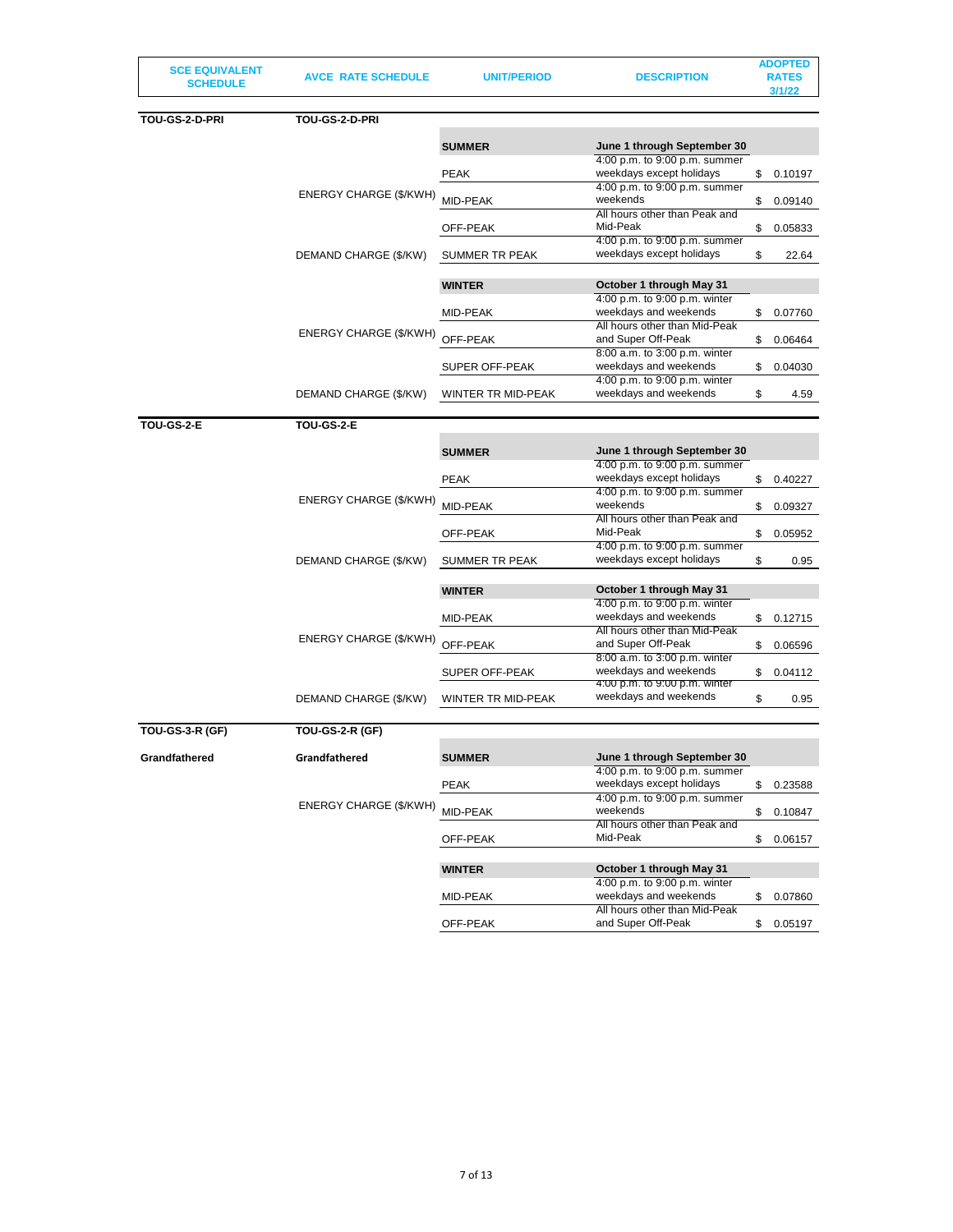| <b>SCE EQUIVALENT</b> |  |
|-----------------------|--|
| <b>SCHEDULE</b>       |  |

**SCHEDULE AVCE RATE SCHEDULE UNIT/PERIOD DESCRIPTION**

| DOPTE<br>١  |
|-------------|
| <b>RATE</b> |
| 11 12 2     |

| TOU-GS-2-D-PRI    | TOU-GS-2-D-PRI         |                    |                                                              |               |
|-------------------|------------------------|--------------------|--------------------------------------------------------------|---------------|
|                   |                        | <b>SUMMER</b>      | June 1 through September 30                                  |               |
|                   |                        |                    | 4:00 p.m. to 9:00 p.m. summer                                |               |
|                   |                        | PEAK               | weekdays except holidays                                     | \$<br>0.10197 |
|                   |                        |                    | 4:00 p.m. to 9:00 p.m. summer                                |               |
|                   | ENERGY CHARGE (\$/KWH) | MID-PEAK           | weekends                                                     | \$<br>0.09140 |
|                   |                        |                    | All hours other than Peak and                                |               |
|                   |                        | OFF-PEAK           | Mid-Peak                                                     | \$<br>0.05833 |
|                   |                        |                    | 4:00 p.m. to 9:00 p.m. summer                                |               |
|                   | DEMAND CHARGE (\$/KW)  | SUMMER TR PEAK     | weekdays except holidays                                     | \$<br>22.64   |
|                   |                        |                    |                                                              |               |
|                   |                        | <b>WINTER</b>      | October 1 through May 31                                     |               |
|                   |                        |                    | 4:00 p.m. to 9:00 p.m. winter<br>weekdays and weekends       |               |
|                   |                        | MID-PEAK           | All hours other than Mid-Peak                                | \$<br>0.07760 |
|                   | ENERGY CHARGE (\$/KWH) | OFF-PEAK           | and Super Off-Peak                                           | \$<br>0.06464 |
|                   |                        |                    | 8:00 a.m. to 3:00 p.m. winter                                |               |
|                   |                        | SUPER OFF-PEAK     | weekdays and weekends                                        | \$<br>0.04030 |
|                   |                        |                    | 4:00 p.m. to 9:00 p.m. winter                                |               |
|                   | DEMAND CHARGE (\$/KW)  | WINTER TR MID-PEAK | weekdays and weekends                                        | \$<br>4.59    |
|                   |                        |                    |                                                              |               |
| <b>TOU-GS-2-E</b> | TOU-GS-2-E             |                    |                                                              |               |
|                   |                        |                    |                                                              |               |
|                   |                        | <b>SUMMER</b>      | June 1 through September 30                                  |               |
|                   |                        |                    | 4:00 p.m. to 9:00 p.m. summer                                |               |
|                   |                        | <b>PEAK</b>        | weekdays except holidays                                     | \$<br>0.40227 |
|                   | ENERGY CHARGE (\$/KWH) |                    | 4:00 p.m. to 9:00 p.m. summer                                |               |
|                   |                        | MID-PEAK           | weekends<br>All hours other than Peak and                    | \$<br>0.09327 |
|                   |                        |                    | Mid-Peak                                                     |               |
|                   |                        | OFF-PEAK           | 4:00 p.m. to 9:00 p.m. summer                                | \$<br>0.05952 |
|                   | DEMAND CHARGE (\$/KW)  | SUMMER TR PEAK     | weekdays except holidays                                     | \$<br>0.95    |
|                   |                        |                    |                                                              |               |
|                   |                        | <b>WINTER</b>      | October 1 through May 31                                     |               |
|                   |                        |                    | 4:00 p.m. to 9:00 p.m. winter                                |               |
|                   |                        | MID-PEAK           | weekdays and weekends                                        | \$<br>0.12715 |
|                   |                        |                    | All hours other than Mid-Peak                                |               |
|                   | ENERGY CHARGE (\$/KWH) | OFF-PEAK           | and Super Off-Peak                                           | \$<br>0.06596 |
|                   |                        |                    | 8:00 a.m. to 3:00 p.m. winter                                |               |
|                   |                        | SUPER OFF-PEAK     | weekdays and weekends                                        | \$<br>0.04112 |
|                   |                        |                    | 4:00 p.m. to 9:00 p.m. winter                                |               |
|                   | DEMAND CHARGE (\$/KW)  | WINTER TR MID-PEAK | weekdays and weekends                                        | \$<br>0.95    |
|                   |                        |                    |                                                              |               |
| TOU-GS-3-R (GF)   | <b>TOU-GS-2-R (GF)</b> |                    |                                                              |               |
|                   |                        |                    |                                                              |               |
| Grandfathered     | Grandfathered          | <b>SUMMER</b>      | June 1 through September 30<br>4:00 p.m. to 9:00 p.m. summer |               |
|                   |                        | <b>PEAK</b>        | weekdays except holidays                                     | \$            |
|                   |                        |                    | 4:00 p.m. to 9:00 p.m. summer                                | 0.23588       |
|                   | ENERGY CHARGE (\$/KWH) | MID-PEAK           | weekends                                                     | \$<br>0.10847 |
|                   |                        |                    | All hours other than Peak and                                |               |
|                   |                        | OFF-PEAK           | Mid-Peak                                                     | \$<br>0.06157 |
|                   |                        |                    |                                                              |               |
|                   |                        | <b>WINTER</b>      | October 1 through May 31                                     |               |
|                   |                        |                    | 4:00 p.m. to 9:00 p.m. winter                                |               |
|                   |                        | MID-PEAK           | weekdays and weekends                                        | \$<br>0.07860 |
|                   |                        |                    | All hours other than Mid-Peak                                |               |
|                   |                        | OFF-PEAK           | and Super Off-Peak                                           | \$0.05197     |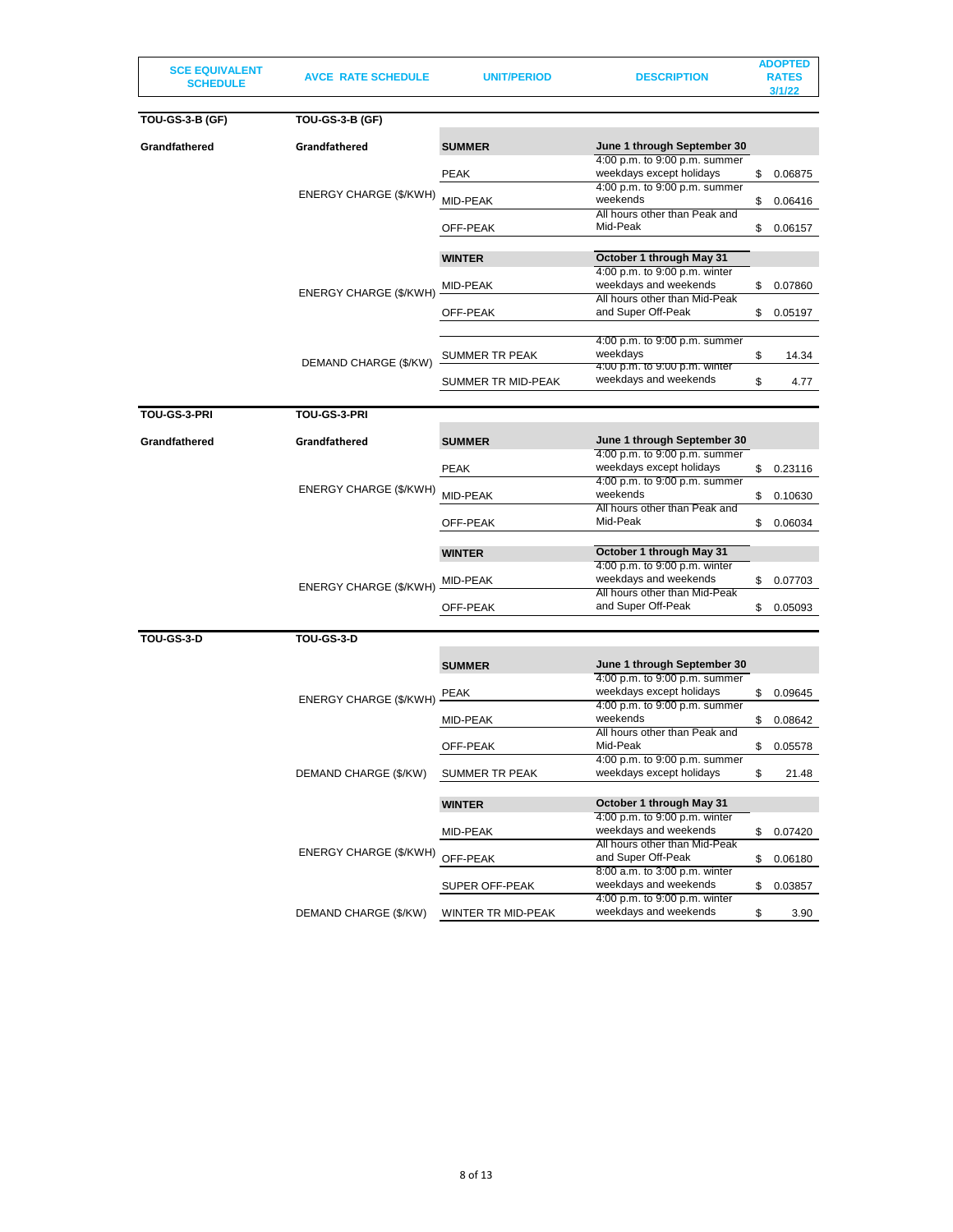| <b>SCE EQUIVALENT</b>  |                           |                    |                                                           | <b>ADOPTED</b> |
|------------------------|---------------------------|--------------------|-----------------------------------------------------------|----------------|
| <b>SCHEDULE</b>        | <b>AVCE RATE SCHEDULE</b> | <b>UNIT/PERIOD</b> | <b>DESCRIPTION</b>                                        | <b>RATES</b>   |
|                        |                           |                    |                                                           | 3/1/22         |
|                        |                           |                    |                                                           |                |
| <b>TOU-GS-3-B (GF)</b> | <b>TOU-GS-3-B (GF)</b>    |                    |                                                           |                |
| Grandfathered          | Grandfathered             | <b>SUMMER</b>      | June 1 through September 30                               |                |
|                        |                           |                    | 4:00 p.m. to 9:00 p.m. summer                             |                |
|                        |                           | <b>PEAK</b>        | weekdays except holidays                                  | \$<br>0.06875  |
|                        |                           |                    | 4:00 p.m. to 9:00 p.m. summer                             |                |
|                        | ENERGY CHARGE (\$/KWH)    | MID-PEAK           | weekends                                                  | \$<br>0.06416  |
|                        |                           |                    | All hours other than Peak and                             |                |
|                        |                           | OFF-PEAK           | Mid-Peak                                                  | \$<br>0.06157  |
|                        |                           |                    |                                                           |                |
|                        |                           | <b>WINTER</b>      | October 1 through May 31                                  |                |
|                        |                           |                    | 4:00 p.m. to 9:00 p.m. winter                             |                |
|                        | ENERGY CHARGE (\$/KWH)    | MID-PEAK           | weekdays and weekends                                     | \$<br>0.07860  |
|                        |                           |                    | All hours other than Mid-Peak                             |                |
|                        |                           | OFF-PEAK           | and Super Off-Peak                                        | \$<br>0.05197  |
|                        |                           |                    | 4:00 p.m. to 9:00 p.m. summer                             |                |
|                        |                           | SUMMER TR PEAK     | weekdays                                                  | \$<br>14.34    |
|                        | DEMAND CHARGE (\$/KW)     |                    | 4:00 p.m. to 9:00 p.m. winter                             |                |
|                        |                           | SUMMER TR MID-PEAK | weekdays and weekends                                     | \$<br>4.77     |
|                        |                           |                    |                                                           |                |
| TOU-GS-3-PRI           | TOU-GS-3-PRI              |                    |                                                           |                |
|                        |                           |                    |                                                           |                |
| Grandfathered          | Grandfathered             | <b>SUMMER</b>      | June 1 through September 30                               |                |
|                        |                           |                    | 4:00 p.m. to 9:00 p.m. summer                             |                |
|                        |                           | <b>PEAK</b>        | weekdays except holidays                                  | \$<br>0.23116  |
|                        | ENERGY CHARGE (\$/KWH)    |                    | 4:00 p.m. to 9:00 p.m. summer                             |                |
|                        |                           | MID-PEAK           | weekends                                                  | \$<br>0.10630  |
|                        |                           |                    | All hours other than Peak and                             |                |
|                        |                           | OFF-PEAK           | Mid-Peak                                                  | \$<br>0.06034  |
|                        |                           |                    |                                                           |                |
|                        |                           | <b>WINTER</b>      | October 1 through May 31                                  |                |
|                        |                           |                    | 4:00 p.m. to 9:00 p.m. winter                             |                |
|                        | ENERGY CHARGE (\$/KWH)    | MID-PEAK           | weekdays and weekends<br>All hours other than Mid-Peak    | \$<br>0.07703  |
|                        |                           | OFF-PEAK           | and Super Off-Peak                                        | \$<br>0.05093  |
|                        |                           |                    |                                                           |                |
| <b>TOU-GS-3-D</b>      | TOU-GS-3-D                |                    |                                                           |                |
|                        |                           |                    |                                                           |                |
|                        |                           | <b>SUMMER</b>      | June 1 through September 30                               |                |
|                        |                           |                    | 4:00 p.m. to 9:00 p.m. summer                             |                |
|                        |                           | <b>PEAK</b>        | weekdays except holidays                                  | \$<br>0.09645  |
|                        | ENERGY CHARGE (\$/KWH)    |                    | 4:00 p.m. to 9:00 p.m. summer                             |                |
|                        |                           | MID-PEAK           | weekends                                                  | \$<br>0.08642  |
|                        |                           |                    | All hours other than Peak and                             |                |
|                        |                           | OFF-PEAK           | Mid-Peak                                                  | \$<br>0.05578  |
|                        |                           |                    | 4:00 p.m. to 9:00 p.m. summer<br>weekdays except holidays |                |
|                        | DEMAND CHARGE (\$/KW)     | SUMMER TR PEAK     |                                                           | \$<br>21.48    |
|                        |                           |                    |                                                           |                |
|                        |                           | <b>WINTER</b>      | October 1 through May 31<br>4:00 p.m. to 9:00 p.m. winter |                |
|                        |                           | MID-PEAK           | weekdays and weekends                                     | \$<br>0.07420  |
|                        |                           |                    | All hours other than Mid-Peak                             |                |
|                        | ENERGY CHARGE (\$/KWH)    | OFF-PEAK           | and Super Off-Peak                                        | \$<br>0.06180  |
|                        |                           |                    | 8:00 a.m. to 3:00 p.m. winter                             |                |
|                        |                           | SUPER OFF-PEAK     | weekdays and weekends                                     | \$<br>0.03857  |
|                        |                           |                    | 4:00 p.m. to 9:00 p.m. winter                             |                |
|                        | DEMAND CHARGE (\$/KW)     | WINTER TR MID-PEAK | weekdays and weekends                                     | \$<br>3.90     |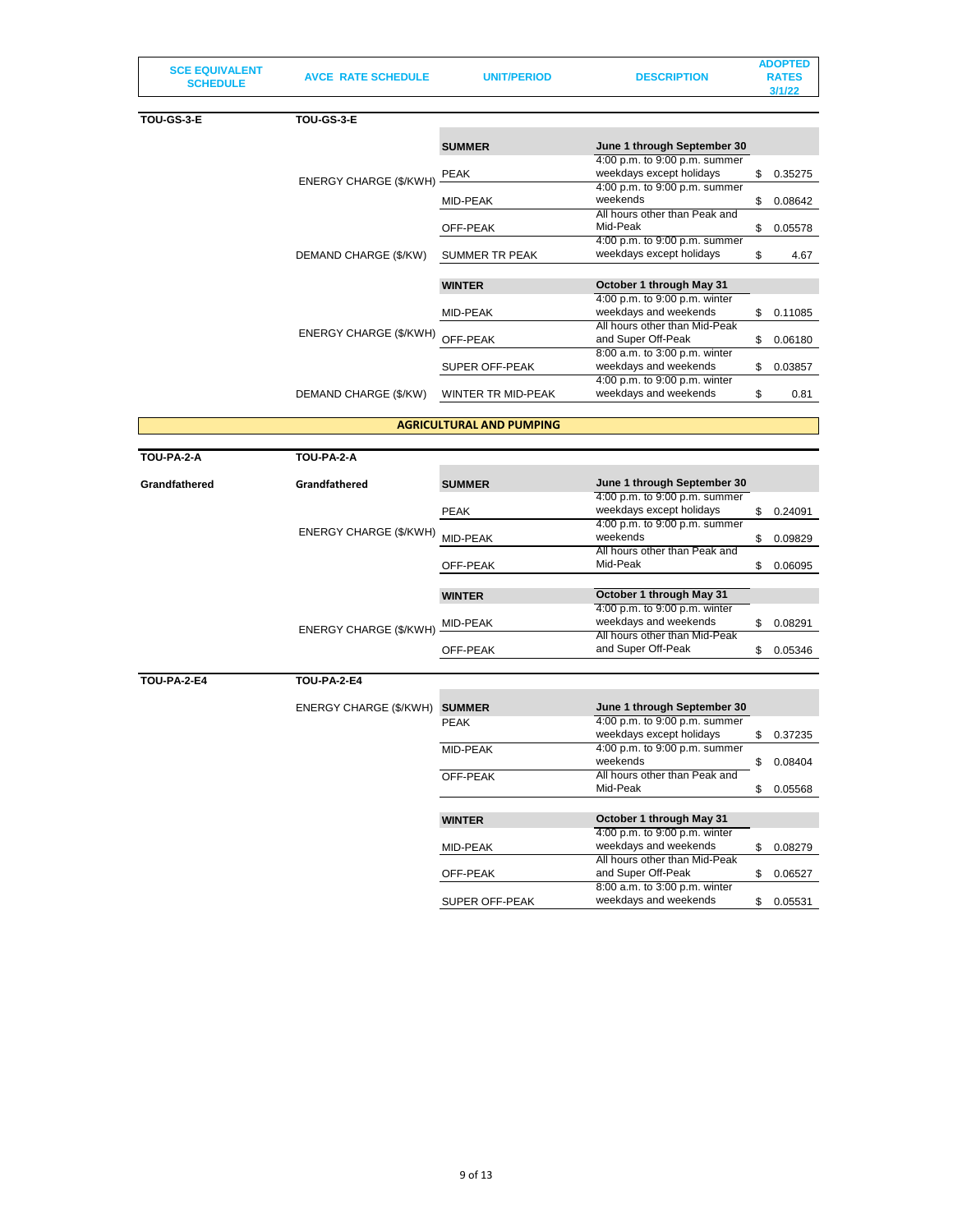| <b>SCE EQUIVALENT</b> |  |
|-----------------------|--|
| <b>SCHEDULE</b>       |  |

**SCHEDULE DESCRIPTION** 

**ADOPTED** 

| <b>DESCRIPTION</b> | <b>RATES</b> |
|--------------------|--------------|
|                    | 3/1/22       |
|                    |              |
|                    |              |

weekdays and weekends \$ 0.05531

| TOU-GS-3-E | TOU-GS-3-E                    |                           |                                                           |               |
|------------|-------------------------------|---------------------------|-----------------------------------------------------------|---------------|
|            |                               | <b>SUMMER</b>             | June 1 through September 30                               |               |
|            | <b>ENERGY CHARGE (\$/KWH)</b> | PEAK                      | 4:00 p.m. to 9:00 p.m. summer<br>weekdays except holidays | \$<br>0.35275 |
|            |                               | MID-PEAK                  | 4:00 p.m. to 9:00 p.m. summer<br>weekends                 | \$<br>0.08642 |
|            |                               | OFF-PEAK                  | All hours other than Peak and<br>Mid-Peak                 | \$<br>0.05578 |
|            | DEMAND CHARGE (\$/KW)         | <b>SUMMER TR PEAK</b>     | 4:00 p.m. to 9:00 p.m. summer<br>weekdays except holidays | \$<br>4.67    |
|            |                               | <b>WINTER</b>             | October 1 through May 31                                  |               |
|            |                               |                           | 4:00 p.m. to 9:00 p.m. winter                             |               |
|            | ENERGY CHARGE (\$/KWH)        | MID-PEAK                  | weekdays and weekends<br>All hours other than Mid-Peak    | \$<br>0.11085 |
|            |                               | OFF-PEAK                  | and Super Off-Peak<br>8:00 a.m. to 3:00 p.m. winter       | \$<br>0.06180 |
|            |                               | <b>SUPER OFF-PEAK</b>     | weekdays and weekends                                     | \$<br>0.03857 |
|            | DEMAND CHARGE (\$/KW)         | <b>WINTER TR MID-PEAK</b> | 4:00 p.m. to 9:00 p.m. winter<br>weekdays and weekends    | \$<br>0.81    |

# **AGRICULTURAL AND PUMPING**

| TOU-PA-2-A         | TOU-PA-2-A             |               |                                                           |               |
|--------------------|------------------------|---------------|-----------------------------------------------------------|---------------|
| Grandfathered      | Grandfathered          | <b>SUMMER</b> | June 1 through September 30                               |               |
|                    |                        | <b>PEAK</b>   | 4:00 p.m. to 9:00 p.m. summer<br>weekdays except holidays | \$<br>0.24091 |
|                    | ENERGY CHARGE (\$/KWH) | MID-PEAK      | 4:00 p.m. to 9:00 p.m. summer<br>weekends                 | \$<br>0.09829 |
|                    |                        | OFF-PEAK      | All hours other than Peak and<br>Mid-Peak                 | \$<br>0.06095 |
|                    |                        | <b>WINTER</b> | October 1 through May 31                                  |               |
|                    | ENERGY CHARGE (\$/KWH) | MID-PEAK      | 4:00 p.m. to 9:00 p.m. winter<br>weekdays and weekends    | \$<br>0.08291 |
|                    |                        | OFF-PEAK      | All hours other than Mid-Peak<br>and Super Off-Peak       | \$<br>0.05346 |
| <b>TOU-PA-2-E4</b> | <b>TOU-PA-2-E4</b>     |               |                                                           |               |
|                    | ENERGY CHARGE (\$/KWH) | <b>SUMMER</b> | June 1 through September 30                               |               |
|                    |                        | <b>PEAK</b>   | 4:00 p.m. to 9:00 p.m. summer<br>weekdays except holidays | \$<br>0.37235 |
|                    |                        | MID-PEAK      | 4:00 p.m. to 9:00 p.m. summer<br>weekends                 | \$<br>0.08404 |
|                    |                        | OFF-PEAK      | All hours other than Peak and<br>Mid-Peak                 | \$<br>0.05568 |
|                    |                        | <b>WINTER</b> | October 1 through May 31                                  |               |
|                    |                        | MID-PEAK      | 4:00 p.m. to 9:00 p.m. winter<br>weekdays and weekends    | \$<br>0.08279 |
|                    |                        | OFF-PEAK      | All hours other than Mid-Peak<br>and Super Off-Peak       | \$<br>0.06527 |
|                    |                        |               | 8:00 a.m. to 3:00 p.m. winter                             |               |

SUPER OFF-PEAK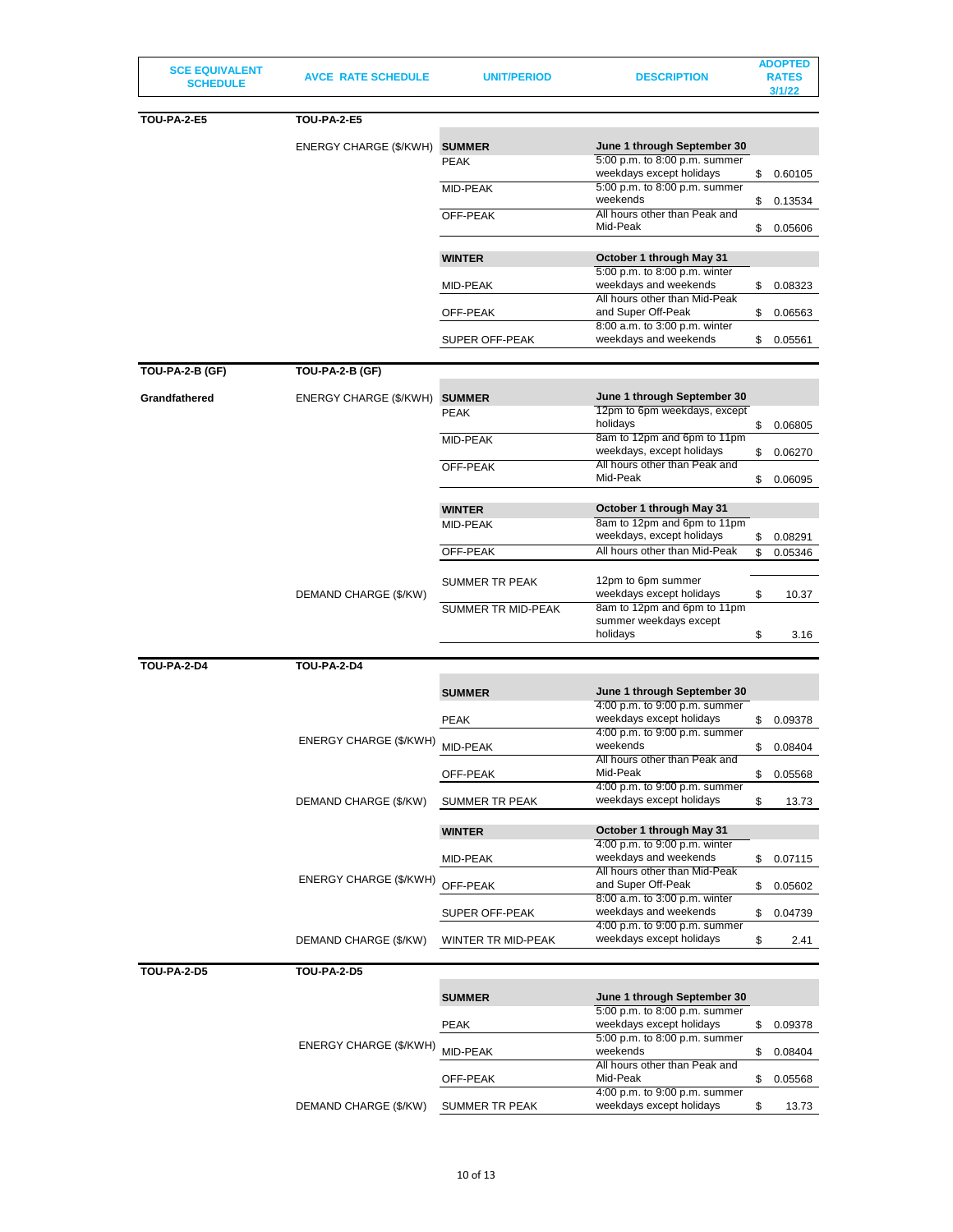| <b>SCE EQUIVALENT</b><br><b>SCHEDULE</b> | <b>AVCE RATE SCHEDULE</b>     | <b>UNIT/PERIOD</b>    | <b>DESCRIPTION</b>                                                                | <b>ADOPTED</b><br><b>RATES</b><br>3/1/22 |
|------------------------------------------|-------------------------------|-----------------------|-----------------------------------------------------------------------------------|------------------------------------------|
| <b>TOU-PA-2-E5</b>                       | <b>TOU-PA-2-E5</b>            |                       |                                                                                   |                                          |
|                                          | ENERGY CHARGE (\$/KWH) SUMMER | <b>PEAK</b>           | June 1 through September 30<br>5:00 p.m. to 8:00 p.m. summer                      |                                          |
|                                          |                               | <b>MID-PEAK</b>       | weekdays except holidays<br>5:00 p.m. to 8:00 p.m. summer                         | \$<br>0.60105                            |
|                                          |                               | OFF-PEAK              | weekends<br>All hours other than Peak and                                         | \$<br>0.13534                            |
|                                          |                               |                       | Mid-Peak                                                                          | \$<br>0.05606                            |
|                                          |                               | <b>WINTER</b>         | October 1 through May 31<br>5:00 p.m. to 8:00 p.m. winter                         |                                          |
|                                          |                               | MID-PEAK              | weekdays and weekends<br>All hours other than Mid-Peak                            | \$<br>0.08323                            |
|                                          |                               | OFF-PEAK              | and Super Off-Peak<br>8:00 a.m. to 3:00 p.m. winter                               | \$<br>0.06563                            |
|                                          |                               | <b>SUPER OFF-PEAK</b> | weekdays and weekends                                                             | \$<br>0.05561                            |
| TOU-PA-2-B (GF)                          | <b>TOU-PA-2-B (GF)</b>        |                       |                                                                                   |                                          |
| Grandfathered                            | ENERGY CHARGE (\$/KWH)        | <b>SUMMER</b>         | June 1 through September 30<br>12pm to 6pm weekdays, except                       |                                          |
|                                          |                               | <b>PEAK</b>           | holidays                                                                          | \$<br>0.06805                            |
|                                          |                               | MID-PEAK              | 8am to 12pm and 6pm to 11pm<br>weekdays, except holidays                          | \$<br>0.06270                            |
|                                          |                               | OFF-PEAK              | All hours other than Peak and<br>Mid-Peak                                         | \$<br>0.06095                            |
|                                          |                               | <b>WINTER</b>         | October 1 through May 31                                                          |                                          |
|                                          |                               | MID-PEAK              | 8am to 12pm and 6pm to 11pm<br>weekdays, except holidays                          | \$<br>0.08291                            |
|                                          |                               | OFF-PEAK              | All hours other than Mid-Peak                                                     | \$<br>0.05346                            |
|                                          |                               | <b>SUMMER TR PEAK</b> | 12pm to 6pm summer                                                                |                                          |
|                                          | DEMAND CHARGE (\$/KW)         | SUMMER TR MID-PEAK    | weekdays except holidays<br>8am to 12pm and 6pm to 11pm<br>summer weekdays except | \$<br>10.37                              |
|                                          |                               |                       | holidays                                                                          | \$<br>3.16                               |
| <b>TOU-PA-2-D4</b>                       | <b>TOU-PA-2-D4</b>            |                       |                                                                                   |                                          |
|                                          |                               | <b>SUMMER</b>         | June 1 through September 30<br>4:00 p.m. to 9:00 p.m. summer                      |                                          |
|                                          |                               | <b>PEAK</b>           | weekdays except holidays                                                          | \$<br>0.09378                            |
|                                          | ENERGY CHARGE (\$/KWH)        | MID-PEAK              | 4:00 p.m. to 9:00 p.m. summer<br>weekends                                         | \$<br>0.08404                            |
|                                          |                               | OFF-PEAK              | All hours other than Peak and<br>Mid-Peak                                         | \$<br>0.05568                            |
|                                          | DEMAND CHARGE (\$/KW)         | <b>SUMMER TR PEAK</b> | 4:00 p.m. to 9:00 p.m. summer<br>weekdays except holidays                         | \$<br>13.73                              |
|                                          |                               | <b>WINTER</b>         | October 1 through May 31                                                          |                                          |
|                                          |                               |                       | 4:00 p.m. to 9:00 p.m. winter                                                     |                                          |
|                                          | ENERGY CHARGE (\$/KWH)        | MID-PEAK              | weekdays and weekends<br>All hours other than Mid-Peak                            | \$<br>0.07115                            |
|                                          |                               | OFF-PEAK              | and Super Off-Peak<br>8:00 a.m. to 3:00 p.m. winter                               | \$<br>0.05602                            |
|                                          |                               | SUPER OFF-PEAK        | weekdays and weekends<br>4:00 p.m. to 9:00 p.m. summer                            | \$<br>0.04739                            |
|                                          | DEMAND CHARGE (\$/KW)         | WINTER TR MID-PEAK    | weekdays except holidays                                                          | \$<br>2.41                               |
| <b>TOU-PA-2-D5</b>                       | <b>TOU-PA-2-D5</b>            |                       |                                                                                   |                                          |
|                                          |                               | <b>SUMMER</b>         | June 1 through September 30<br>5:00 p.m. to 8:00 p.m. summer                      |                                          |
|                                          |                               | <b>PEAK</b>           | weekdays except holidays                                                          | \$<br>0.09378                            |
|                                          | ENERGY CHARGE (\$/KWH)        | MID-PEAK              | 5:00 p.m. to 8:00 p.m. summer<br>weekends                                         | \$<br>0.08404                            |
|                                          |                               | OFF-PEAK              | All hours other than Peak and<br>Mid-Peak                                         | \$<br>0.05568                            |
|                                          | DEMAND CHARGE (\$/KW)         | SUMMER TR PEAK        | 4:00 p.m. to 9:00 p.m. summer<br>weekdays except holidays                         | \$<br>13.73                              |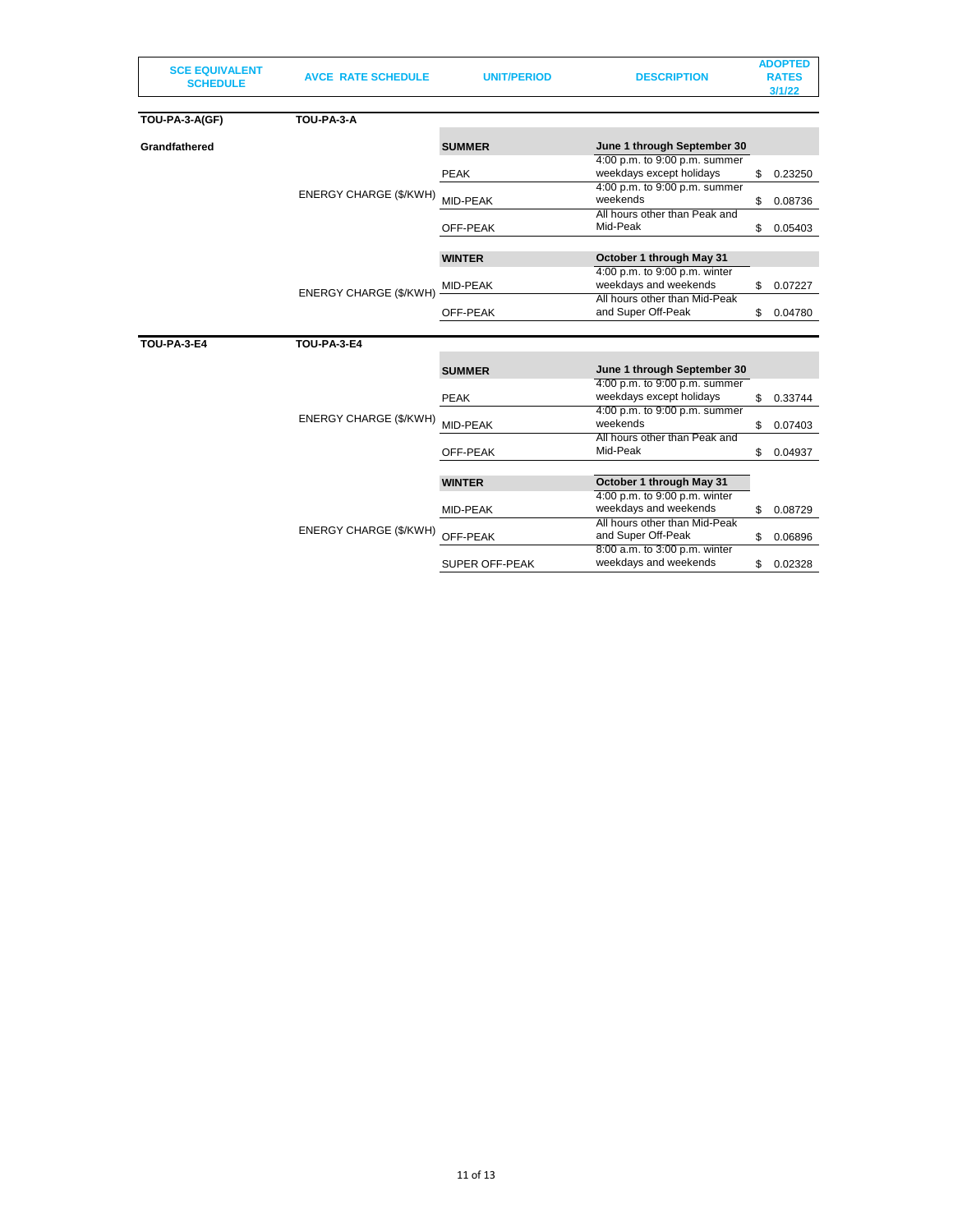| <b>SCE EQUIVALENT</b><br><b>SCHEDULE</b> | <b>AVCE RATE SCHEDULE</b>     | <b>UNIT/PERIOD</b>    | <b>DESCRIPTION</b>                                        | <b>ADOPTED</b><br><b>RATES</b><br>3/1/22 |
|------------------------------------------|-------------------------------|-----------------------|-----------------------------------------------------------|------------------------------------------|
| TOU-PA-3-A(GF)                           | TOU-PA-3-A                    |                       |                                                           |                                          |
| Grandfathered                            |                               | <b>SUMMER</b>         | June 1 through September 30                               |                                          |
|                                          |                               | <b>PEAK</b>           | 4:00 p.m. to 9:00 p.m. summer<br>weekdays except holidays | \$<br>0.23250                            |
|                                          | ENERGY CHARGE (\$/KWH)        | MID-PEAK              | 4:00 p.m. to 9:00 p.m. summer<br>weekends                 | \$<br>0.08736                            |
|                                          |                               | OFF-PEAK              | All hours other than Peak and<br>Mid-Peak                 | \$<br>0.05403                            |
|                                          |                               | <b>WINTER</b>         | October 1 through May 31                                  |                                          |
|                                          | <b>ENERGY CHARGE (\$/KWH)</b> | MID-PEAK              | 4:00 p.m. to 9:00 p.m. winter<br>weekdays and weekends    | \$<br>0.07227                            |
|                                          |                               | OFF-PEAK              | All hours other than Mid-Peak<br>and Super Off-Peak       | \$<br>0.04780                            |
| <b>TOU-PA-3-E4</b>                       | <b>TOU-PA-3-E4</b>            |                       |                                                           |                                          |
|                                          |                               | <b>SUMMER</b>         | June 1 through September 30                               |                                          |
|                                          |                               | <b>PEAK</b>           | 4:00 p.m. to 9:00 p.m. summer<br>weekdays except holidays | \$<br>0.33744                            |
|                                          | ENERGY CHARGE (\$/KWH)        | MID-PEAK              | 4:00 p.m. to 9:00 p.m. summer<br>weekends                 | \$<br>0.07403                            |
|                                          |                               | OFF-PEAK              | All hours other than Peak and<br>Mid-Peak                 | \$<br>0.04937                            |
|                                          |                               | <b>WINTER</b>         | October 1 through May 31                                  |                                          |
|                                          |                               | MID-PEAK              | 4:00 p.m. to 9:00 p.m. winter<br>weekdays and weekends    | \$<br>0.08729                            |
|                                          | ENERGY CHARGE (\$/KWH)        | OFF-PEAK              | All hours other than Mid-Peak<br>and Super Off-Peak       | \$<br>0.06896                            |
|                                          |                               | <b>SUPER OFF-PEAK</b> | 8:00 a.m. to 3:00 p.m. winter<br>weekdays and weekends    | \$<br>0.02328                            |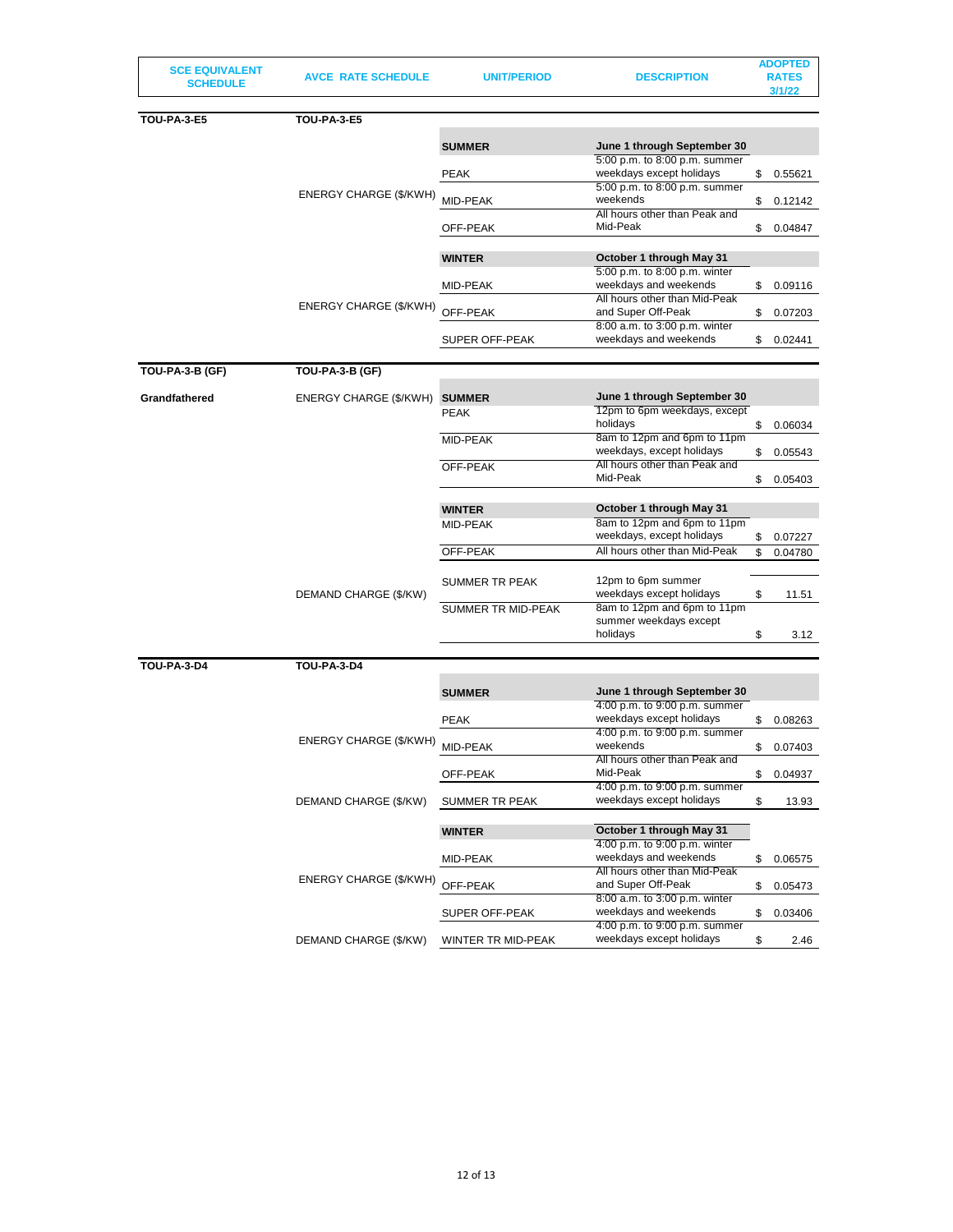| <b>SCE EQUIVALENT</b><br><b>SCHEDULE</b> | <b>AVCE RATE SCHEDULE</b> | <b>UNIT/PERIOD</b> | <b>DESCRIPTION</b>                                         |          | <b>ADOPTED</b><br><b>RATES</b><br>3/1/22 |
|------------------------------------------|---------------------------|--------------------|------------------------------------------------------------|----------|------------------------------------------|
|                                          |                           |                    |                                                            |          |                                          |
| <b>TOU-PA-3-E5</b>                       | <b>TOU-PA-3-E5</b>        |                    |                                                            |          |                                          |
|                                          |                           | <b>SUMMER</b>      | June 1 through September 30                                |          |                                          |
|                                          |                           |                    | 5:00 p.m. to 8:00 p.m. summer                              |          |                                          |
|                                          |                           | <b>PEAK</b>        | weekdays except holidays<br>5:00 p.m. to 8:00 p.m. summer  | \$       | 0.55621                                  |
|                                          | ENERGY CHARGE (\$/KWH)    | MID-PEAK           | weekends                                                   | \$       | 0.12142                                  |
|                                          |                           |                    | All hours other than Peak and                              |          |                                          |
|                                          |                           | OFF-PEAK           | Mid-Peak                                                   | \$       | 0.04847                                  |
|                                          |                           | <b>WINTER</b>      | October 1 through May 31                                   |          |                                          |
|                                          |                           |                    | 5:00 p.m. to 8:00 p.m. winter                              |          |                                          |
|                                          |                           | MID-PEAK           | weekdays and weekends                                      | \$       | 0.09116                                  |
|                                          | ENERGY CHARGE (\$/KWH)    | OFF-PEAK           | All hours other than Mid-Peak<br>and Super Off-Peak        | \$       | 0.07203                                  |
|                                          |                           |                    | 8:00 a.m. to 3:00 p.m. winter                              |          |                                          |
|                                          |                           | SUPER OFF-PEAK     | weekdays and weekends                                      | \$       | 0.02441                                  |
|                                          |                           |                    |                                                            |          |                                          |
| TOU-PA-3-B (GF)                          | TOU-PA-3-B (GF)           |                    |                                                            |          |                                          |
| Grandfathered                            | ENERGY CHARGE (\$/KWH)    | <b>SUMMER</b>      | June 1 through September 30                                |          |                                          |
|                                          |                           | <b>PEAK</b>        | 12pm to 6pm weekdays, except<br>holidays                   |          |                                          |
|                                          |                           | MID-PEAK           | 8am to 12pm and 6pm to 11pm                                | \$       | 0.06034                                  |
|                                          |                           |                    | weekdays, except holidays                                  | \$       | 0.05543                                  |
|                                          |                           | OFF-PEAK           | All hours other than Peak and<br>Mid-Peak                  | \$       |                                          |
|                                          |                           |                    |                                                            |          | 0.05403                                  |
|                                          |                           | <b>WINTER</b>      | October 1 through May 31                                   |          |                                          |
|                                          |                           | MID-PEAK           | 8am to 12pm and 6pm to 11pm                                |          |                                          |
|                                          |                           | OFF-PEAK           | weekdays, except holidays<br>All hours other than Mid-Peak | \$<br>\$ | 0.07227<br>0.04780                       |
|                                          |                           |                    |                                                            |          |                                          |
|                                          |                           | SUMMER TR PEAK     | 12pm to 6pm summer                                         |          |                                          |
|                                          | DEMAND CHARGE (\$/KW)     |                    | weekdays except holidays                                   | \$       | 11.51                                    |
|                                          |                           | SUMMER TR MID-PEAK | 8am to 12pm and 6pm to 11pm<br>summer weekdays except      |          |                                          |
|                                          |                           |                    | holidays                                                   | \$       | 3.12                                     |
|                                          |                           |                    |                                                            |          |                                          |
| <b>TOU-PA-3-D4</b>                       | <b>TOU-PA-3-D4</b>        |                    |                                                            |          |                                          |
|                                          |                           | <b>SUMMER</b>      | June 1 through September 30                                |          |                                          |
|                                          |                           |                    | 4:00 p.m. to 9:00 p.m. summer                              |          |                                          |
|                                          |                           | <b>PEAK</b>        | weekdays except holidays<br>4:00 p.m. to 9:00 p.m. summer  | \$       | 0.08263                                  |
|                                          | ENERGY CHARGE (\$/KWH)    | MID-PEAK           | weekends                                                   | \$       | 0.07403                                  |
|                                          |                           |                    | All hours other than Peak and                              |          |                                          |
|                                          |                           | OFF-PEAK           | Mid-Peak<br>4:00 p.m. to 9:00 p.m. summer                  | \$       | 0.04937                                  |
|                                          | DEMAND CHARGE (\$/KW)     | SUMMER TR PEAK     | weekdays except holidays                                   | \$       | 13.93                                    |
|                                          |                           |                    |                                                            |          |                                          |
|                                          |                           | <b>WINTER</b>      | October 1 through May 31                                   |          |                                          |
|                                          |                           | MID-PEAK           | 4:00 p.m. to 9:00 p.m. winter<br>weekdays and weekends     | \$       | 0.06575                                  |
|                                          |                           |                    | All hours other than Mid-Peak                              |          |                                          |
|                                          | ENERGY CHARGE (\$/KWH)    | OFF-PEAK           | and Super Off-Peak                                         | \$       | 0.05473                                  |
|                                          |                           |                    | 8:00 a.m. to 3:00 p.m. winter<br>weekdays and weekends     |          |                                          |
|                                          |                           | SUPER OFF-PEAK     | 4:00 p.m. to 9:00 p.m. summer                              | \$       | 0.03406                                  |
|                                          | DEMAND CHARGE (\$/KW)     | WINTER TR MID-PEAK | weekdays except holidays                                   | \$       | 2.46                                     |